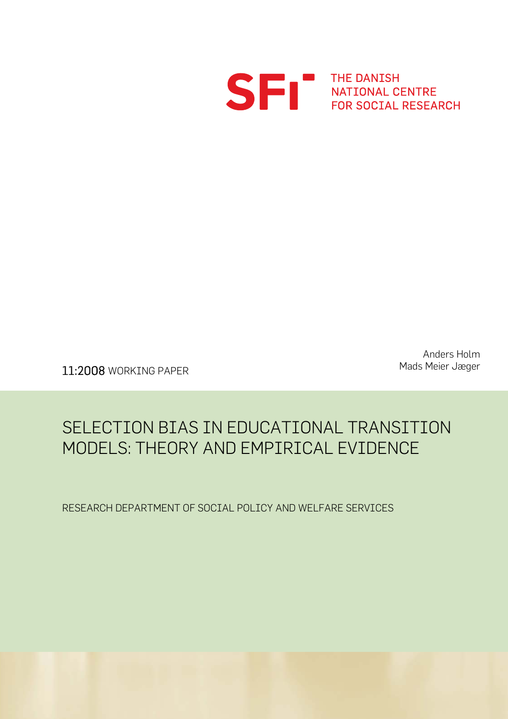

S FRI THE DANISH<br>FOR SOCIAL RESEARCH

Mads Meier Jæger 11:2008 WORKING PAPER

Anders Holm

## SELECTION BIAS IN EDUCATIONAL TRANSITION MODELS: THEORY AND EMPIRICAL EVIDENCE

RESEARCH DEPARTMENT OF SOCIAL POLICY AND WELFARE SERVICES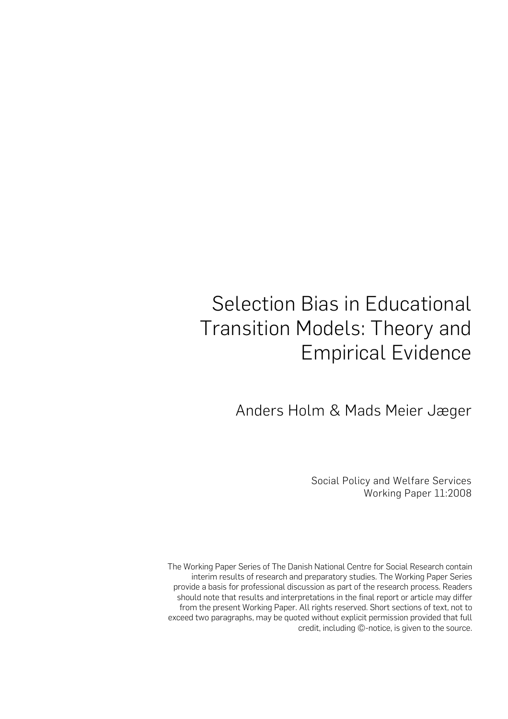# Selection Bias in Educational Transition Models: Theory and Empirical Evidence

Anders Holm & Mads Meier Jæger

Social Policy and Welfare Services Working Paper 11:2008

The Working Paper Series of The Danish National Centre for Social Research contain interim results of research and preparatory studies. The Working Paper Series provide a basis for professional discussion as part of the research process. Readers should note that results and interpretations in the final report or article may differ from the present Working Paper. All rights reserved. Short sections of text, not to exceed two paragraphs, may be quoted without explicit permission provided that full credit, including ©-notice, is given to the source.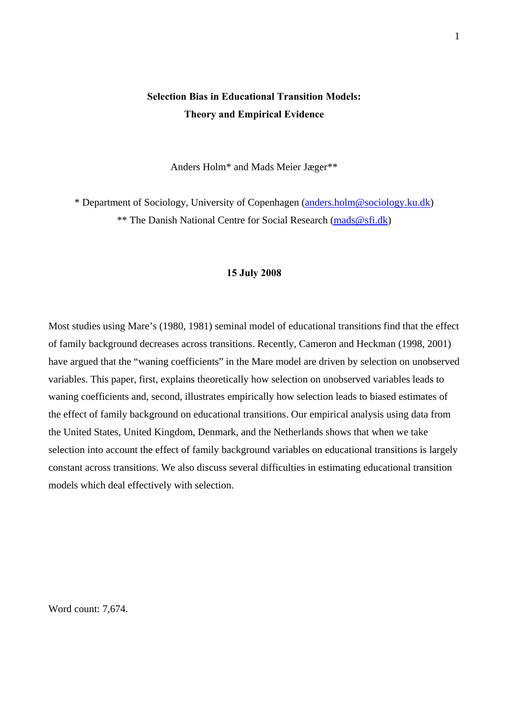### **Selection Bias in Educational Transition Models: Theory and Empirical Evidence**

Anders Holm\* and Mads Meier Jæger\*\*

\* Department of Sociology, University of Copenhagen [\(anders.holm@sociology.ku.dk\)](mailto:anders.holm@sociology.ku.dk) \*\* The Danish National Centre for Social Research [\(mads@sfi.dk](mailto:mads@sfi.dk))

#### **15 July 2008**

Most studies using Mare's (1980, 1981) seminal model of educational transitions find that the effect of family background decreases across transitions. Recently, Cameron and Heckman (1998, 2001) have argued that the "waning coefficients" in the Mare model are driven by selection on unobserved variables. This paper, first, explains theoretically how selection on unobserved variables leads to waning coefficients and, second, illustrates empirically how selection leads to biased estimates of the effect of family background on educational transitions. Our empirical analysis using data from the United States, United Kingdom, Denmark, and the Netherlands shows that when we take selection into account the effect of family background variables on educational transitions is largely constant across transitions. We also discuss several difficulties in estimating educational transition models which deal effectively with selection.

Word count: 7,674.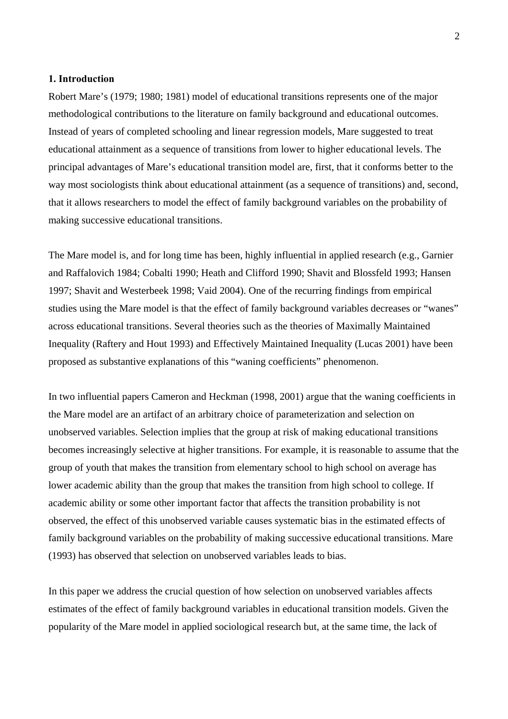#### **1. Introduction**

Robert Mare's (1979; 1980; 1981) model of educational transitions represents one of the major methodological contributions to the literature on family background and educational outcomes. Instead of years of completed schooling and linear regression models, Mare suggested to treat educational attainment as a sequence of transitions from lower to higher educational levels. The principal advantages of Mare's educational transition model are, first, that it conforms better to the way most sociologists think about educational attainment (as a sequence of transitions) and, second, that it allows researchers to model the effect of family background variables on the probability of making successive educational transitions.

The Mare model is, and for long time has been, highly influential in applied research (e.g., Garnier and Raffalovich 1984; Cobalti 1990; Heath and Clifford 1990; Shavit and Blossfeld 1993; Hansen 1997; Shavit and Westerbeek 1998; Vaid 2004). One of the recurring findings from empirical studies using the Mare model is that the effect of family background variables decreases or "wanes" across educational transitions. Several theories such as the theories of Maximally Maintained Inequality (Raftery and Hout 1993) and Effectively Maintained Inequality (Lucas 2001) have been proposed as substantive explanations of this "waning coefficients" phenomenon.

In two influential papers Cameron and Heckman (1998, 2001) argue that the waning coefficients in the Mare model are an artifact of an arbitrary choice of parameterization and selection on unobserved variables. Selection implies that the group at risk of making educational transitions becomes increasingly selective at higher transitions. For example, it is reasonable to assume that the group of youth that makes the transition from elementary school to high school on average has lower academic ability than the group that makes the transition from high school to college. If academic ability or some other important factor that affects the transition probability is not observed, the effect of this unobserved variable causes systematic bias in the estimated effects of family background variables on the probability of making successive educational transitions. Mare (1993) has observed that selection on unobserved variables leads to bias.

In this paper we address the crucial question of how selection on unobserved variables affects estimates of the effect of family background variables in educational transition models. Given the popularity of the Mare model in applied sociological research but, at the same time, the lack of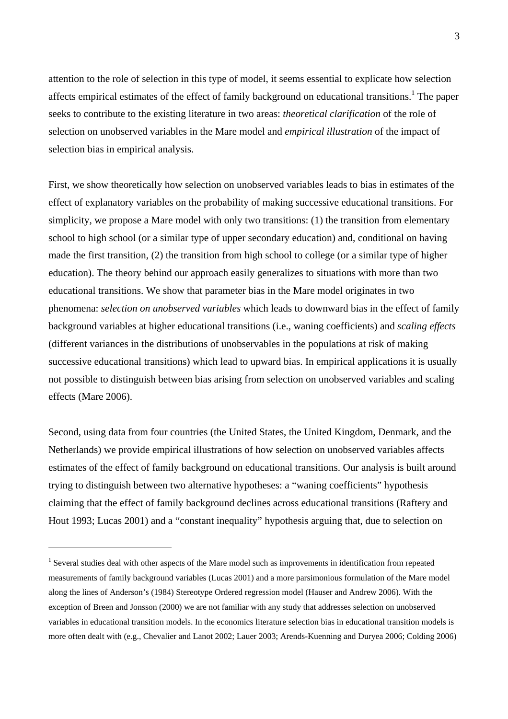attention to the role of selection in this type of model, it seems essential to explicate how selection affects empirical estimates of the effect of family background on educational transitions.<sup>[1](#page-4-0)</sup> The paper seeks to contribute to the existing literature in two areas: *theoretical clarification* of the role of selection on unobserved variables in the Mare model and *empirical illustration* of the impact of selection bias in empirical analysis.

First, we show theoretically how selection on unobserved variables leads to bias in estimates of the effect of explanatory variables on the probability of making successive educational transitions. For simplicity, we propose a Mare model with only two transitions: (1) the transition from elementary school to high school (or a similar type of upper secondary education) and, conditional on having made the first transition, (2) the transition from high school to college (or a similar type of higher education). The theory behind our approach easily generalizes to situations with more than two educational transitions. We show that parameter bias in the Mare model originates in two phenomena: *selection on unobserved variables* which leads to downward bias in the effect of family background variables at higher educational transitions (i.e., waning coefficients) and *scaling effects* (different variances in the distributions of unobservables in the populations at risk of making successive educational transitions) which lead to upward bias. In empirical applications it is usually not possible to distinguish between bias arising from selection on unobserved variables and scaling effects (Mare 2006).

Second, using data from four countries (the United States, the United Kingdom, Denmark, and the Netherlands) we provide empirical illustrations of how selection on unobserved variables affects estimates of the effect of family background on educational transitions. Our analysis is built around trying to distinguish between two alternative hypotheses: a "waning coefficients" hypothesis claiming that the effect of family background declines across educational transitions (Raftery and Hout 1993; Lucas 2001) and a "constant inequality" hypothesis arguing that, due to selection on

 $\overline{a}$ 

<span id="page-4-0"></span><sup>&</sup>lt;sup>1</sup> Several studies deal with other aspects of the Mare model such as improvements in identification from repeated measurements of family background variables (Lucas 2001) and a more parsimonious formulation of the Mare model along the lines of Anderson's (1984) Stereotype Ordered regression model (Hauser and Andrew 2006). With the exception of Breen and Jonsson (2000) we are not familiar with any study that addresses selection on unobserved variables in educational transition models. In the economics literature selection bias in educational transition models is more often dealt with (e.g., Chevalier and Lanot 2002; Lauer 2003; Arends-Kuenning and Duryea 2006; Colding 2006)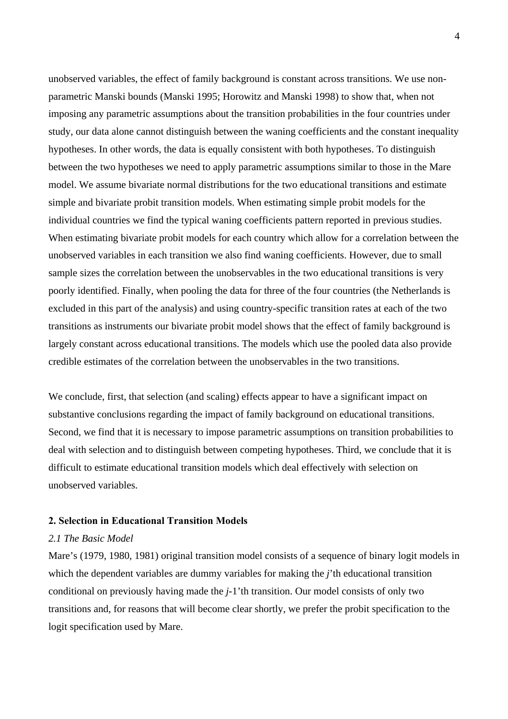unobserved variables, the effect of family background is constant across transitions. We use nonparametric Manski bounds (Manski 1995; Horowitz and Manski 1998) to show that, when not imposing any parametric assumptions about the transition probabilities in the four countries under study, our data alone cannot distinguish between the waning coefficients and the constant inequality hypotheses. In other words, the data is equally consistent with both hypotheses. To distinguish between the two hypotheses we need to apply parametric assumptions similar to those in the Mare model. We assume bivariate normal distributions for the two educational transitions and estimate simple and bivariate probit transition models. When estimating simple probit models for the individual countries we find the typical waning coefficients pattern reported in previous studies. When estimating bivariate probit models for each country which allow for a correlation between the unobserved variables in each transition we also find waning coefficients. However, due to small sample sizes the correlation between the unobservables in the two educational transitions is very poorly identified. Finally, when pooling the data for three of the four countries (the Netherlands is excluded in this part of the analysis) and using country-specific transition rates at each of the two transitions as instruments our bivariate probit model shows that the effect of family background is largely constant across educational transitions. The models which use the pooled data also provide credible estimates of the correlation between the unobservables in the two transitions.

We conclude, first, that selection (and scaling) effects appear to have a significant impact on substantive conclusions regarding the impact of family background on educational transitions. Second, we find that it is necessary to impose parametric assumptions on transition probabilities to deal with selection and to distinguish between competing hypotheses. Third, we conclude that it is difficult to estimate educational transition models which deal effectively with selection on unobserved variables.

#### **2. Selection in Educational Transition Models**

#### *2.1 The Basic Model*

Mare's (1979, 1980, 1981) original transition model consists of a sequence of binary logit models in which the dependent variables are dummy variables for making the *j*'th educational transition conditional on previously having made the *j*-1'th transition. Our model consists of only two transitions and, for reasons that will become clear shortly, we prefer the probit specification to the logit specification used by Mare.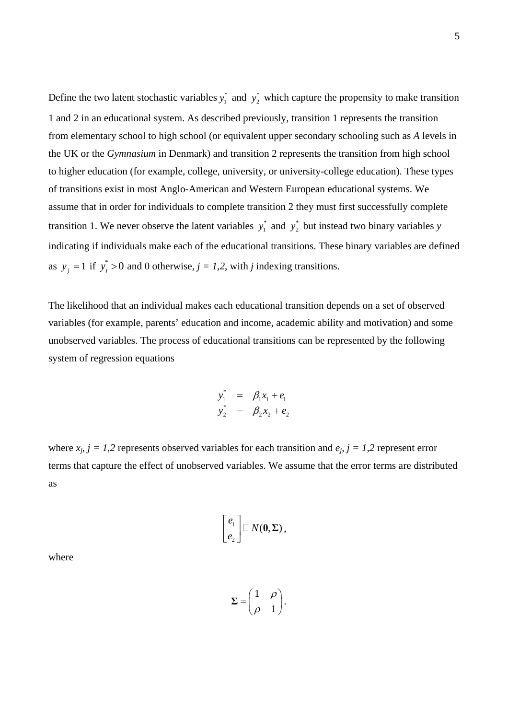Define the two latent stochastic variables  $y_1^*$  and  $y_2^*$  which capture the propensity to make transition 1 and 2 in an educational system. As described previously, transition 1 represents the transition from elementary school to high school (or equivalent upper secondary schooling such as *A* levels in the UK or the *Gymnasium* in Denmark) and transition 2 represents the transition from high school to higher education (for example, college, university, or university-college education). These types of transitions exist in most Anglo-American and Western European educational systems. We assume that in order for individuals to complete transition 2 they must first successfully complete transition 1. We never observe the latent variables  $y_1^*$  and  $y_2^*$  but instead two binary variables *y* indicating if individuals make each of the educational transitions. These binary variables are defined as  $y_j = 1$  if  $y_j^* > 0$  and 0 otherwise,  $j = 1,2$ , with *j* indexing transitions.

The likelihood that an individual makes each educational transition depends on a set of observed variables (for example, parents' education and income, academic ability and motivation) and some unobserved variables. The process of educational transitions can be represented by the following system of regression equations

$$
y_1^* = \beta_1 x_1 + e_1
$$
  

$$
y_2^* = \beta_2 x_2 + e_2
$$

where  $x_j$ ,  $j = 1,2$  represents observed variables for each transition and  $e_j$ ,  $j = 1,2$  represent error terms that capture the effect of unobserved variables. We assume that the error terms are distributed as

$$
\begin{bmatrix} e_1 \\ e_2 \end{bmatrix} \square N(\mathbf{0}, \Sigma),
$$

where

1 1 ρ  $=\begin{pmatrix} 1 & \rho \\ \rho & 1 \end{pmatrix}$  $\Sigma = \begin{vmatrix} 1 & F \end{vmatrix}$ .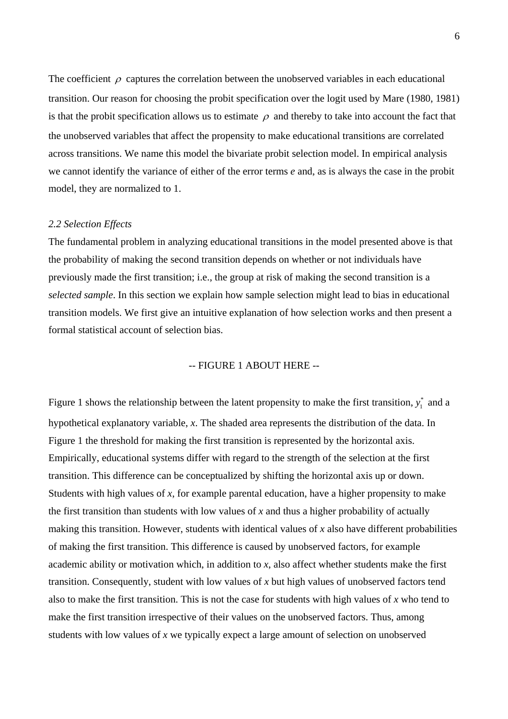The coefficient  $\rho$  captures the correlation between the unobserved variables in each educational transition. Our reason for choosing the probit specification over the logit used by Mare (1980, 1981) is that the probit specification allows us to estimate  $\rho$  and thereby to take into account the fact that the unobserved variables that affect the propensity to make educational transitions are correlated across transitions. We name this model the bivariate probit selection model. In empirical analysis we cannot identify the variance of either of the error terms *e* and, as is always the case in the probit model, they are normalized to 1.

#### *2.2 Selection Effects*

The fundamental problem in analyzing educational transitions in the model presented above is that the probability of making the second transition depends on whether or not individuals have previously made the first transition; i.e., the group at risk of making the second transition is a *selected sample*. In this section we explain how sample selection might lead to bias in educational transition models. We first give an intuitive explanation of how selection works and then present a formal statistical account of selection bias.

#### -- FIGURE 1 ABOUT HERE --

Figure 1 shows the relationship between the latent propensity to make the first transition,  $y_1^*$  and a hypothetical explanatory variable, *x*. The shaded area represents the distribution of the data. In Figure 1 the threshold for making the first transition is represented by the horizontal axis. Empirically, educational systems differ with regard to the strength of the selection at the first transition. This difference can be conceptualized by shifting the horizontal axis up or down. Students with high values of *x*, for example parental education, have a higher propensity to make the first transition than students with low values of *x* and thus a higher probability of actually making this transition. However, students with identical values of *x* also have different probabilities of making the first transition. This difference is caused by unobserved factors, for example academic ability or motivation which, in addition to *x*, also affect whether students make the first transition. Consequently, student with low values of *x* but high values of unobserved factors tend also to make the first transition. This is not the case for students with high values of *x* who tend to make the first transition irrespective of their values on the unobserved factors. Thus, among students with low values of *x* we typically expect a large amount of selection on unobserved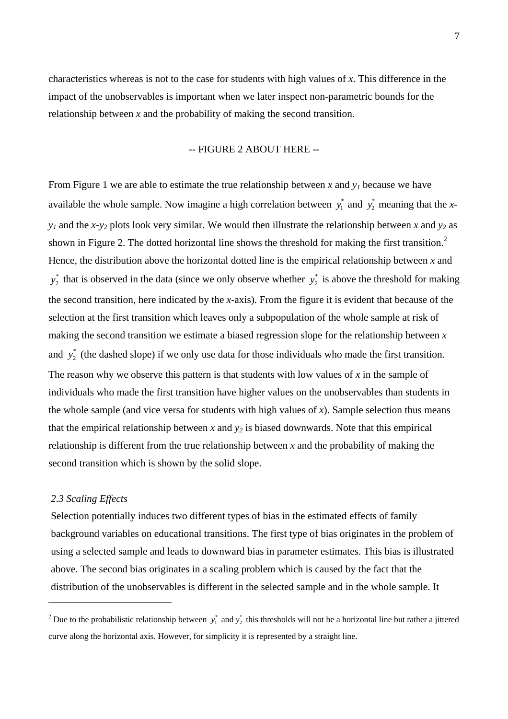characteristics whereas is not to the case for students with high values of *x*. This difference in the impact of the unobservables is important when we later inspect non-parametric bounds for the relationship between *x* and the probability of making the second transition.

#### -- FIGURE 2 ABOUT HERE --

From Figure 1 we are able to estimate the true relationship between *x* and *y1* because we have available the whole sample. Now imagine a high correlation between  $y_1^*$  and  $y_2^*$  meaning that the *xy1* and the *x*-*y2* plots look very similar. We would then illustrate the relationship between *x* and *y2* as shown in Figure [2](#page-8-0). The dotted horizontal line shows the threshold for making the first transition.<sup>2</sup> Hence, the distribution above the horizontal dotted line is the empirical relationship between *x* and  $y_2^*$  that is observed in the data (since we only observe whether  $y_2^*$  is above the threshold for making the second transition, here indicated by the *x*-axis). From the figure it is evident that because of the selection at the first transition which leaves only a subpopulation of the whole sample at risk o f making the second transition we estimate a biased regression slope for the relationship betwe en *x* and  $y_2^*$  (the dashed slope) if we only use data for those individuals who made the first transition. The reason why we observe this pattern is that students with low values of *x* in the sample of individuals who made the first transition have higher values on the unobservables than students in the whole sample (and vice versa for students with high values of *x*). Sample selection thus means that the empirical relationship between  $x$  and  $y_2$  is biased downwards. Note that this empirical relationship is different from the true relationship between *x* and the probability of making the second transition which is shown by the solid slope.

#### *2.3 Scaling Effects*

 $\overline{a}$ 

Selection potentially induces two different types of bias in the estimated effects of family background variables on educational transitions. The first type of bias originates in the problem of using a selected sample and leads to downward bias in parameter estimates. This bias is illustrated above. The second bias originates in a scaling problem which is caused by the fact that the distribution of the unobservables is different in the selected sample and in the whole sample. It

<span id="page-8-0"></span><sup>&</sup>lt;sup>2</sup> Due to the probabilistic relationship between  $y_1^*$  and  $y_2^*$  this thresholds will not be a horizontal line but rather a jittered curve along the horizontal axis. However, for simplicity it is represented by a straight line.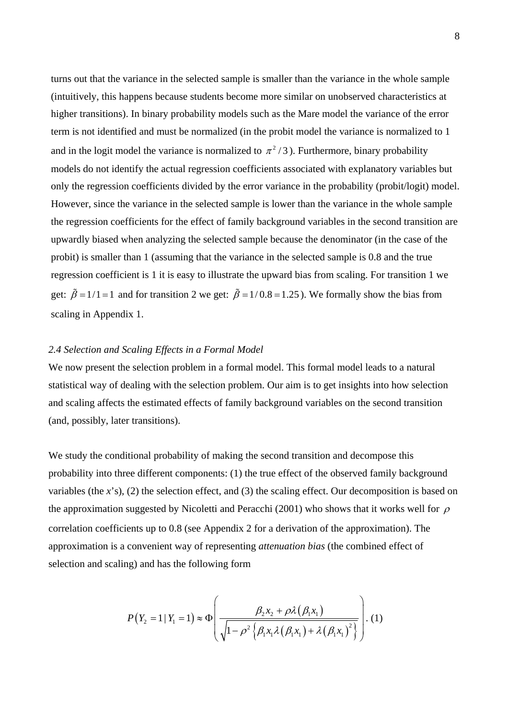turns out that the variance in the selected sample is smaller than the variance in the whole sample (intuitively, this happens because students become more similar on unobserved characteristics at higher transitions). In binary probability models such as the Mare model the variance of the error term is not identified and must be normalized (in the probit model the variance is normalized to 1 and in the logit model the variance is normalized to  $\pi^2/3$ ). Furthermore, binary probability models do not identify the actual regression coefficients associated with explanatory variables but only the regression coefficients divided by the error variance in the probability (probit/logit) model. However, since the variance in the selected sample is lower than the variance in the whole sample the regression coefficients for the effect of family background variables in the second transition are upwardly biased when analyzing the selected sample because the denominator (in the case of the probit) is smaller than 1 (assuming that the variance in the selected sample is 0.8 and the true regression coefficient is 1 it is easy to illustrate the upward bias from scaling. For transition 1 we get:  $\tilde{\beta} = 1/1 = 1$  and for transition 2 we get:  $\tilde{\beta} = 1/0.8 = 1.25$ ). We formally show the bias from scaling in Appendix 1.

#### *2.4 Selection and Scaling Effects in a Formal Model*

We now present the selection problem in a formal model. This formal model leads to a natural statistical way of dealing with the selection problem. Our aim is to get insights into how selection and scaling affects the estimated effects of family background variables on the second transition (and, possibly, later transitions).

We study the conditional probability of making the second transition and decompose this probability into three different components: (1) the true effect of the observed family background variables (the *x*'s), (2) the selection effect, and (3) the scaling effect. Our decomposition is based on the approximation suggested by Nicoletti and Peracchi (2001) who shows that it works well for  $\rho$ correlation coefficients up to 0.8 (see Appendix 2 for a derivation of the approximation). The approximation is a convenient way of representing *attenuation bias* (the combined effect of selection and scaling) and has the following form

$$
P(Y_2 = 1 | Y_1 = 1) \approx \Phi \left( \frac{\beta_2 x_2 + \rho \lambda (\beta_1 x_1)}{\sqrt{1 - \rho^2 \left\{ \beta_1 x_1 \lambda (\beta_1 x_1) + \lambda (\beta_1 x_1)^2 \right\}}} \right). (1)
$$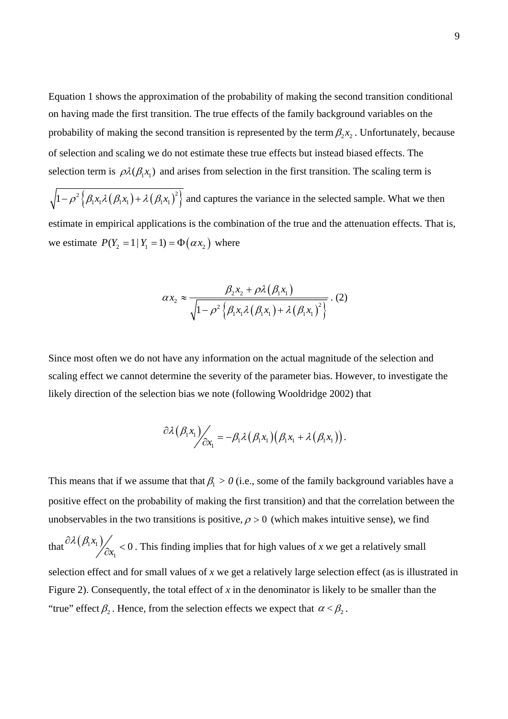Equation 1 shows the approximation of the probability of making the second transition conditional on having made the first transition. The true effects of the family background variables on the probability of making the second transition is represented by the term  $\beta_2 x_2$ . Unfortunately, because of selection and scaling we do not estimate these true effects but instead biased effects. The selection term is  $\rho \lambda(\beta, x_1)$  and arises from selection in the first transition. The scaling term is

 $\left\{1-\rho^2\left\{\beta_1x_1\lambda\left(\beta_1x_1\right)+\lambda\left(\beta_1x_1\right)^2\right\}\right\}$  and captures the variance in the selected sample. What we then estimate in empirical applications is the combination of the true and the attenuation effects. That is, we estimate  $P(Y_2 = 1 | Y_1 = 1) = \Phi(\alpha x_2)$  where

$$
\alpha x_2 \approx \frac{\beta_2 x_2 + \rho \lambda (\beta_1 x_1)}{\sqrt{1 - \rho^2 \left\{\beta_1 x_1 \lambda (\beta_1 x_1) + \lambda (\beta_1 x_1)^2\right\}}}. (2)
$$

Since most often we do not have any information on the actual magnitude of the selection and scaling effect we cannot determine the severity of the parameter bias. However, to investigate the likely direction of the selection bias we note (following Wooldridge 2002) that

$$
\frac{\partial \lambda(\beta_1 x_1)}{\partial x_1} = -\beta_1 \lambda(\beta_1 x_1) (\beta_1 x_1 + \lambda(\beta_1 x_1)).
$$

This means that if we assume that that  $\beta_1 > 0$  (i.e., some of the family background variables have a positive effect on the probability of making the first transition) and that the correlation between the unobservables in the two transitions is positive,  $\rho > 0$  (which makes intuitive sense), we find

that  $\partial \lambda (\beta_1 x_1)$ 1  $\partial \lambda (\beta_1 x_1)$ <br> $\partial x_1$  < 0. This finding implies that for high values of *x* we get a relatively small selection effect and for small values of *x* we get a relatively large selection effect (as is illustrated in Figure 2). Consequently, the total effect of *x* in the denominator is likely to be smaller than the "true" effect  $\beta_2$ . Hence, from the selection effects we expect that  $\alpha < \beta_2$ .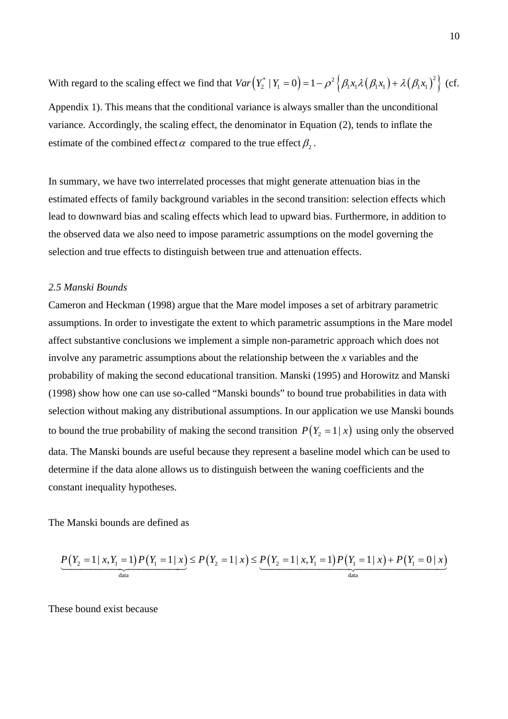With regard to the scaling effect we find that  $Var(Y_2^* | Y_1 = 0) = 1 - \rho^2 \left\{ \beta_1 x_1 \lambda (\beta_1 x_1) + \lambda (\beta_1 x_1)^2 \right\}$  (cf. Appendix 1). This means that the conditional variance is always smaller than the unconditional variance. Accordingly, the scaling effect, the denominator in Equation (2), tends to inflate the estimate of the combined effect  $\alpha$  compared to the true effect  $\beta_2$ .

In summary, we have two interrelated processes that might generate attenuation bias in the estimated effects of family background variables in the second transition: selection effects which lead to downward bias and scaling effects which lead to upward bias. Furthermore, in addition to the observed data we also need to impose parametric assumptions on the model governing the selection and true effects to distinguish between true and attenuation effects.

#### *2.5 Manski Bounds*

Cameron and Heckman (1998) argue that the Mare model imposes a set of arbitrary parametric assumptions. In order to investigate the extent to which parametric assumptions in the Mare model affect substantive conclusions we implement a simple non-parametric approach which does not involve any parametric assumptions about the relationship between the *x* variables and the probability of making the second educational transition. Manski (1995) and Horowitz and Manski (1998) show how one can use so-called "Manski bounds" to bound true probabilities in data with selection without making any distributional assumptions. In our application we use Manski bounds to bound the true probability of making the second transition  $P(Y_2 = 1 | x)$  using only the observed data. The Manski bounds are useful because they represent a baseline model which can be used to determine if the data alone allows us to distinguish between the waning coefficients and the constant inequality hypotheses.

The Manski bounds are defined as

$$
\underbrace{P(Y_2 = 1 \mid x, Y_1 = 1) P(Y_1 = 1 \mid x)}_{\text{data}} \leq P(Y_2 = 1 \mid x) \leq \underbrace{P(Y_2 = 1 \mid x, Y_1 = 1) P(Y_1 = 1 \mid x) + P(Y_1 = 0 \mid x)}_{\text{data}}
$$

These bound exist because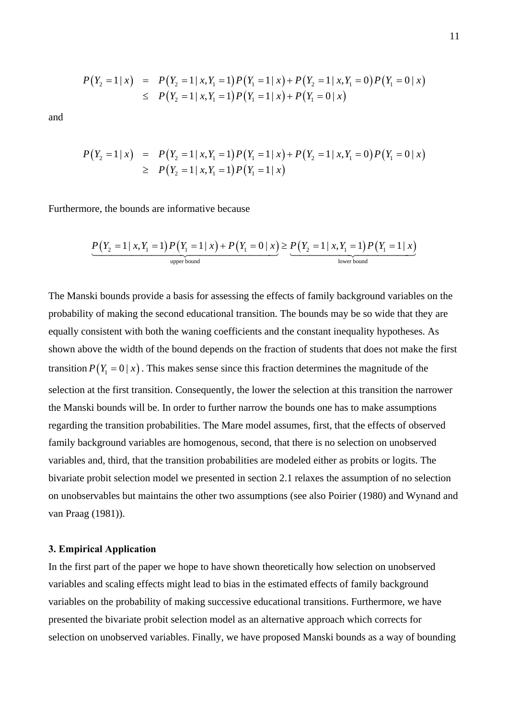$$
P(Y_2 = 1 | x) = P(Y_2 = 1 | x, Y_1 = 1) P(Y_1 = 1 | x) + P(Y_2 = 1 | x, Y_1 = 0) P(Y_1 = 0 | x)
$$
  
\n
$$
\leq P(Y_2 = 1 | x, Y_1 = 1) P(Y_1 = 1 | x) + P(Y_1 = 0 | x)
$$

and

$$
P(Y_2 = 1 | x) = P(Y_2 = 1 | x, Y_1 = 1) P(Y_1 = 1 | x) + P(Y_2 = 1 | x, Y_1 = 0) P(Y_1 = 0 | x)
$$
  
\n
$$
\geq P(Y_2 = 1 | x, Y_1 = 1) P(Y_1 = 1 | x)
$$

Furthermore, the bounds are informative because

$$
\underbrace{P(Y_2 = 1 | x, Y_1 = 1) P(Y_1 = 1 | x) + P(Y_1 = 0 | x)}_{\text{upper bound}} \geq \underbrace{P(Y_2 = 1 | x, Y_1 = 1) P(Y_1 = 1 | x)}_{\text{lower bound}}
$$

The Manski bounds provide a basis for assessing the effects of family background variables on the probability of making the second educational transition. The bounds may be so wide that they are equally consistent with both the waning coefficients and the constant inequality hypotheses. As shown above the width of the bound depends on the fraction of students that does not make the first transition  $P(Y_1 = 0 | x)$ . This makes sense since this fraction determines the magnitude of the selection at the first transition. Consequently, the lower the selection at this transition the narrower the Manski bounds will be. In order to further narrow the bounds one has to make assumptions regarding the transition probabilities. The Mare model assumes, first, that the effects of observed family background variables are homogenous, second, that there is no selection on unobserved variables and, third, that the transition probabilities are modeled either as probits or logits. The bivariate probit selection model we presented in section 2.1 relaxes the assumption of no selection on unobservables but maintains the other two assumptions (see also Poirier (1980) and Wynand and van Praag (1981)).

#### **3. Empirical Application**

In the first part of the paper we hope to have shown theoretically how selection on unobserved variables and scaling effects might lead to bias in the estimated effects of family background variables on the probability of making successive educational transitions. Furthermore, we have presented the bivariate probit selection model as an alternative approach which corrects for selection on unobserved variables. Finally, we have proposed Manski bounds as a way of bounding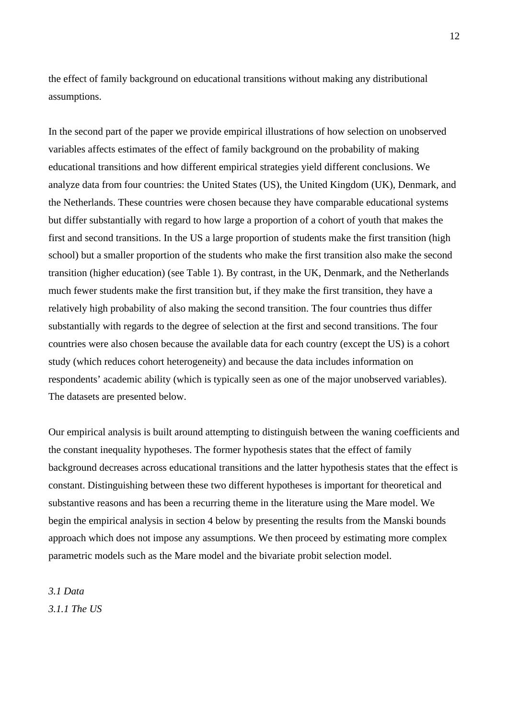the effect of family background on educational transitions without making any distributional assumptions.

In the second part of the paper we provide empirical illustrations of how selection on unobserved variables affects estimates of the effect of family background on the probability of making educational transitions and how different empirical strategies yield different conclusions. We analyze data from four countries: the United States (US), the United Kingdom (UK), Denmark, and the Netherlands. These countries were chosen because they have comparable educational systems but differ substantially with regard to how large a proportion of a cohort of youth that makes the first and second transitions. In the US a large proportion of students make the first transition (high school) but a smaller proportion of the students who make the first transition also make the second transition (higher education) (see Table 1). By contrast, in the UK, Denmark, and the Netherlands much fewer students make the first transition but, if they make the first transition, they have a relatively high probability of also making the second transition. The four countries thus differ substantially with regards to the degree of selection at the first and second transitions. The four countries were also chosen because the available data for each country (except the US) is a cohort study (which reduces cohort heterogeneity) and because the data includes information on respondents' academic ability (which is typically seen as one of the major unobserved variables). The datasets are presented below.

Our empirical analysis is built around attempting to distinguish between the waning coefficients and the constant inequality hypotheses. The former hypothesis states that the effect of family background decreases across educational transitions and the latter hypothesis states that the effect is constant. Distinguishing between these two different hypotheses is important for theoretical and substantive reasons and has been a recurring theme in the literature using the Mare model. We begin the empirical analysis in section 4 below by presenting the results from the Manski bounds approach which does not impose any assumptions. We then proceed by estimating more complex parametric models such as the Mare model and the bivariate probit selection model.

*3.1 Data 3.1.1 The US*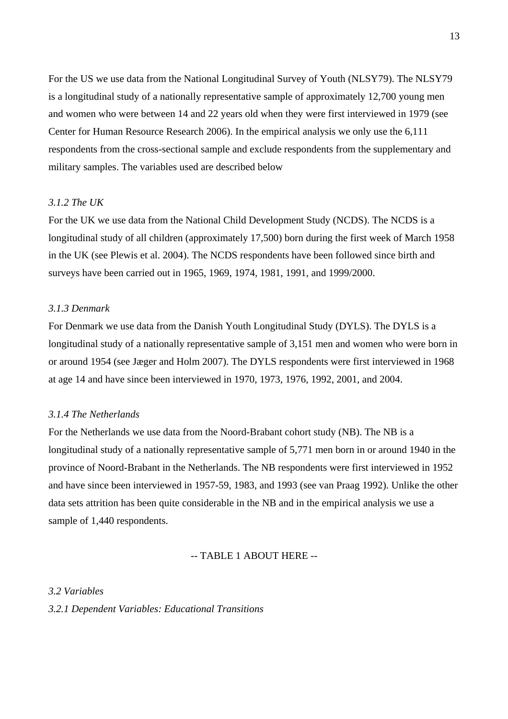For the US we use data from the National Longitudinal Survey of Youth (NLSY79). The NLSY79 is a longitudinal study of a nationally representative sample of approximately 12,700 young men and women who were between 14 and 22 years old when they were first interviewed in 1979 (see Center for Human Resource Research 2006). In the empirical analysis we only use the 6,111 respondents from the cross-sectional sample and exclude respondents from the supplementary and military samples. The variables used are described below

#### *3.1.2 The UK*

For the UK we use data from the National Child Development Study (NCDS). The NCDS is a longitudinal study of all children (approximately 17,500) born during the first week of March 1958 in the UK (see Plewis et al. 2004). The NCDS respondents have been followed since birth and surveys have been carried out in 1965, 1969, 1974, 1981, 1991, and 1999/2000.

#### *3.1.3 Denmark*

For Denmark we use data from the Danish Youth Longitudinal Study (DYLS). The DYLS is a longitudinal study of a nationally representative sample of 3,151 men and women who were born in or around 1954 (see Jæger and Holm 2007). The DYLS respondents were first interviewed in 1968 at age 14 and have since been interviewed in 1970, 1973, 1976, 1992, 2001, and 2004.

#### *3.1.4 The Netherlands*

For the Netherlands we use data from the Noord-Brabant cohort study (NB). The NB is a longitudinal study of a nationally representative sample of 5,771 men born in or around 1940 in the province of Noord-Brabant in the Netherlands. The NB respondents were first interviewed in 1952 and have since been interviewed in 1957-59, 1983, and 1993 (see van Praag 1992). Unlike the other data sets attrition has been quite considerable in the NB and in the empirical analysis we use a sample of 1,440 respondents.

#### -- TABLE 1 ABOUT HERE --

#### *3.2 Variables*

*3.2.1 Dependent Variables: Educational Transitions*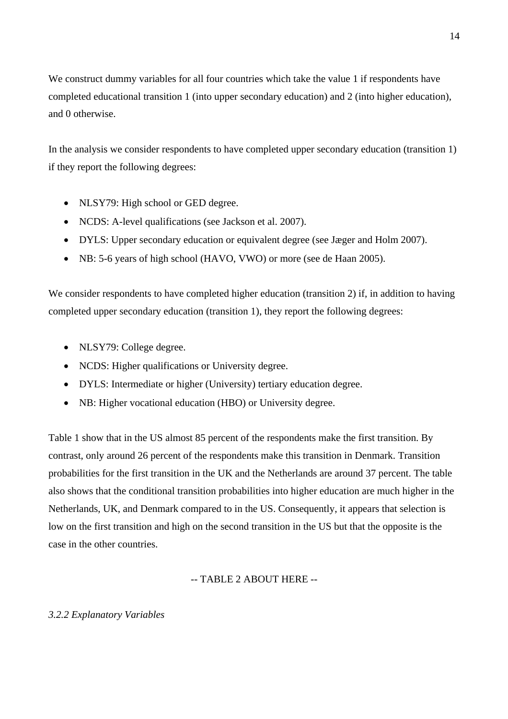We construct dummy variables for all four countries which take the value 1 if respondents have completed educational transition 1 (into upper secondary education) and 2 (into higher education), and 0 otherwise.

In the analysis we consider respondents to have completed upper secondary education (transition 1) if they report the following degrees:

- NLSY79: High school or GED degree.
- NCDS: A-level qualifications (see Jackson et al. 2007).
- DYLS: Upper secondary education or equivalent degree (see Jæger and Holm 2007).
- NB: 5-6 years of high school (HAVO, VWO) or more (see de Haan 2005).

We consider respondents to have completed higher education (transition 2) if, in addition to having completed upper secondary education (transition 1), they report the following degrees:

- NLSY79: College degree.
- NCDS: Higher qualifications or University degree.
- DYLS: Intermediate or higher (University) tertiary education degree.
- NB: Higher vocational education (HBO) or University degree.

Table 1 show that in the US almost 85 percent of the respondents make the first transition. By contrast, only around 26 percent of the respondents make this transition in Denmark. Transition probabilities for the first transition in the UK and the Netherlands are around 37 percent. The table also shows that the conditional transition probabilities into higher education are much higher in the Netherlands, UK, and Denmark compared to in the US. Consequently, it appears that selection is low on the first transition and high on the second transition in the US but that the opposite is the case in the other countries.

-- TABLE 2 ABOUT HERE --

#### *3.2.2 Explanatory Variables*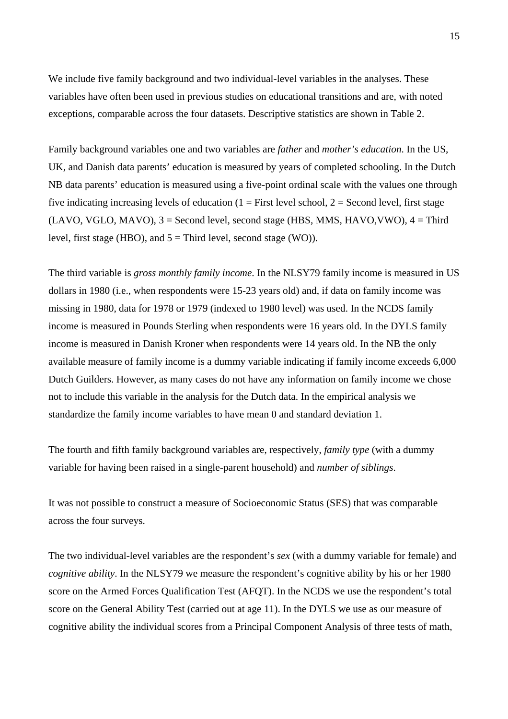We include five family background and two individual-level variables in the analyses. These variables have often been used in previous studies on educational transitions and are, with noted exceptions, comparable across the four datasets. Descriptive statistics are shown in Table 2.

Family background variables one and two variables are *father* and *mother's education*. In the US, UK, and Danish data parents' education is measured by years of completed schooling. In the Dutch NB data parents' education is measured using a five-point ordinal scale with the values one through five indicating increasing levels of education  $(1 = First level school, 2 = Second level, first stage)$  $(LAVO, VGLO, MAYO),$  3 = Second level, second stage (HBS, MMS, HAVO, VWO), 4 = Third level, first stage (HBO), and  $5 =$  Third level, second stage (WO)).

The third variable is *gross monthly family income*. In the NLSY79 family income is measured in US dollars in 1980 (i.e., when respondents were 15-23 years old) and, if data on family income was missing in 1980, data for 1978 or 1979 (indexed to 1980 level) was used. In the NCDS family income is measured in Pounds Sterling when respondents were 16 years old. In the DYLS family income is measured in Danish Kroner when respondents were 14 years old. In the NB the only available measure of family income is a dummy variable indicating if family income exceeds 6,000 Dutch Guilders. However, as many cases do not have any information on family income we chose not to include this variable in the analysis for the Dutch data. In the empirical analysis we standardize the family income variables to have mean 0 and standard deviation 1.

The fourth and fifth family background variables are, respectively, *family type* (with a dummy variable for having been raised in a single-parent household) and *number of siblings*.

It was not possible to construct a measure of Socioeconomic Status (SES) that was comparable across the four surveys.

The two individual-level variables are the respondent's *sex* (with a dummy variable for female) and *cognitive ability*. In the NLSY79 we measure the respondent's cognitive ability by his or her 1980 score on the Armed Forces Qualification Test (AFQT). In the NCDS we use the respondent's total score on the General Ability Test (carried out at age 11). In the DYLS we use as our measure of cognitive ability the individual scores from a Principal Component Analysis of three tests of math,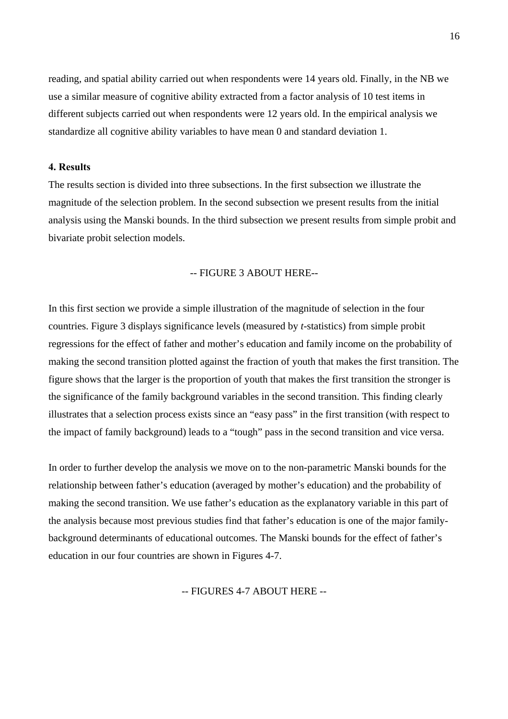reading, and spatial ability carried out when respondents were 14 years old. Finally, in the NB we use a similar measure of cognitive ability extracted from a factor analysis of 10 test items in different subjects carried out when respondents were 12 years old. In the empirical analysis we standardize all cognitive ability variables to have mean 0 and standard deviation 1.

#### **4. Results**

The results section is divided into three subsections. In the first subsection we illustrate the magnitude of the selection problem. In the second subsection we present results from the initial analysis using the Manski bounds. In the third subsection we present results from simple probit and bivariate probit selection models.

#### -- FIGURE 3 ABOUT HERE--

In this first section we provide a simple illustration of the magnitude of selection in the four countries. Figure 3 displays significance levels (measured by *t*-statistics) from simple probit regressions for the effect of father and mother's education and family income on the probability of making the second transition plotted against the fraction of youth that makes the first transition. The figure shows that the larger is the proportion of youth that makes the first transition the stronger is the significance of the family background variables in the second transition. This finding clearly illustrates that a selection process exists since an "easy pass" in the first transition (with respect to the impact of family background) leads to a "tough" pass in the second transition and vice versa.

In order to further develop the analysis we move on to the non-parametric Manski bounds for the relationship between father's education (averaged by mother's education) and the probability of making the second transition. We use father's education as the explanatory variable in this part of the analysis because most previous studies find that father's education is one of the major familybackground determinants of educational outcomes. The Manski bounds for the effect of father's education in our four countries are shown in Figures 4-7.

-- FIGURES 4-7 ABOUT HERE --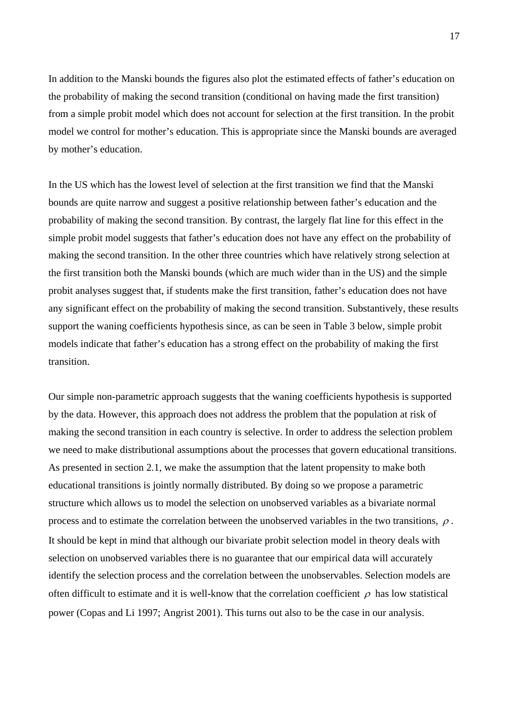In addition to the Manski bounds the figures also plot the estimated effects of father's education on the probability of making the second transition (conditional on having made the first transition) from a simple probit model which does not account for selection at the first transition. In the probit model we control for mother's education. This is appropriate since the Manski bounds are averaged by mother's education.

In the US which has the lowest level of selection at the first transition we find that the Manski bounds are quite narrow and suggest a positive relationship between father's education and the probability of making the second transition. By contrast, the largely flat line for this effect in the simple probit model suggests that father's education does not have any effect on the probability of making the second transition. In the other three countries which have relatively strong selection at the first transition both the Manski bounds (which are much wider than in the US) and the simple probit analyses suggest that, if students make the first transition, father's education does not have any significant effect on the probability of making the second transition. Substantively, these results support the waning coefficients hypothesis since, as can be seen in Table 3 below, simple probit models indicate that father's education has a strong effect on the probability of making the first transition.

Our simple non-parametric approach suggests that the waning coefficients hypothesis is supported by the data. However, this approach does not address the problem that the population at risk of making the second transition in each country is selective. In order to address the selection problem we need to make distributional assumptions about the processes that govern educational transitions. As presented in section 2.1, we make the assumption that the latent propensity to make both educational transitions is jointly normally distributed. By doing so we propose a parametric structure which allows us to model the selection on unobserved variables as a bivariate normal process and to estimate the correlation between the unobserved variables in the two transitions,  $\rho$ . It should be kept in mind that although our bivariate probit selection model in theory deals with selection on unobserved variables there is no guarantee that our empirical data will accurately identify the selection process and the correlation between the unobservables. Selection models are often difficult to estimate and it is well-know that the correlation coefficient  $\rho$  has low statistical power (Copas and Li 1997; Angrist 2001). This turns out also to be the case in our analysis.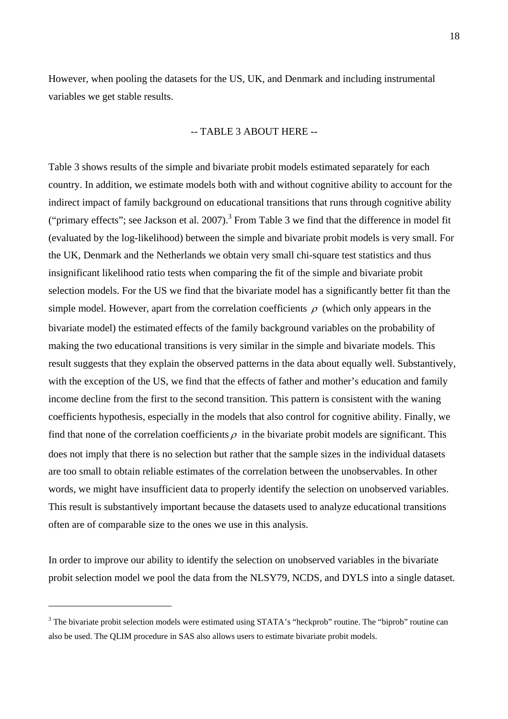However, when pooling the datasets for the US, UK, and Denmark and including instrumental variables we get stable results.

#### -- TABLE 3 ABOUT HERE --

Table 3 shows results of the simple and bivariate probit models estimated separately for each country. In addition, we estimate models both with and without cognitive ability to account for the indirect impact of family background on educational transitions that runs through cognitive ability ("primaryeffects"; see Jackson et al. 2007).<sup>3</sup> From Table 3 we find that the difference in model fit (evaluated by the log-likelihood) between the simple and bivariate probit models is very small. For the UK, Denmark and the Netherlands we obtain very small chi-square test statistics and thus insignificant likelihood ratio tests when comparing the fit of the simple and bivariate probit selection models. For the US we find that the bivariate model has a significantly better fit than the simple model. However, apart from the correlation coefficients  $\rho$  (which only appears in the bivariate model) the estimated effects of the family background variables on the probability of making the two educational transitions is very similar in the simple and bivariate models. This result suggests that they explain the observed patterns in the data about equally well. Substantively, with the exception of the US, we find that the effects of father and mother's education and family income decline from the first to the second transition. This pattern is consistent with the waning coefficients hypothesis, especially in the models that also control for cognitive ability. Finally, we find that none of the correlation coefficients  $\rho$  in the bivariate probit models are significant. This does not imply that there is no selection but rather that the sample sizes in the individual datasets are too small to obtain reliable estimates of the correlation between the unobservables. In other words, we might have insufficient data to properly identify the selection on unobserved variables. This result is substantively important because the datasets used to analyze educational transitions often are of comparable size to the ones we use in this analysis.

In order to improve our ability to identify the selection on unobserved variables in the bivariate probit selection model we pool the data from the NLSY79, NCDS, and DYLS into a single dataset.

 $\overline{a}$ 

<span id="page-19-0"></span> $3$  The bivariate probit selection models were estimated using STATA's "heckprob" routine. The "biprob" routine can also be used. The QLIM procedure in SAS also allows users to estimate bivariate probit models.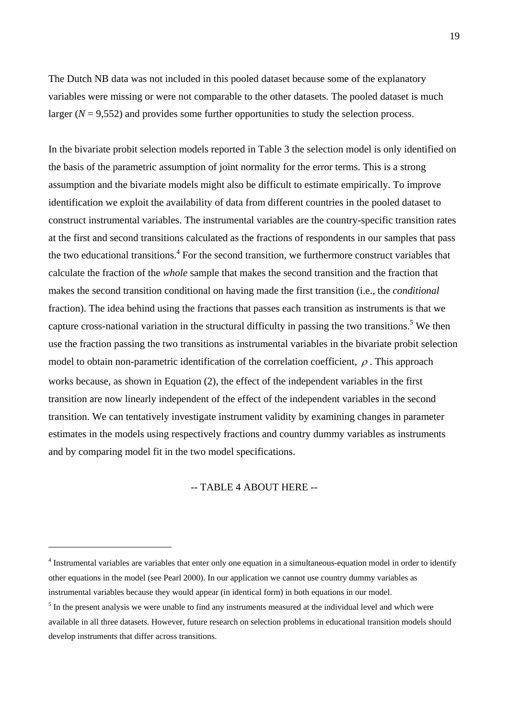The Dutch NB data was not included in this pooled dataset because some of the explanatory variables were missing or were not comparable to the other datasets. The pooled dataset is much larger  $(N = 9,552)$  and provides some further opportunities to study the selection process.

In the bivariate probit selection models reported in Table 3 the selection model is only identified on the basis of the parametric assumption of joint normality for the error terms. This is a strong assumption and the bivariate models might also be difficult to estimate empirically. To improve identification we exploit the availability of data from different countries in the pooled dataset to construct instrumental variables. The instrumental variables are the country-specific transition rates at the first and second transitions calculated as the fractions of respondents in our samples that pass the two educational transitions.<sup>[4](#page-20-0)</sup> For the second transition, we furthermore construct variables that calculate the fraction of the *whole* sample that makes the second transition and the fraction that makes the second transition conditional on having made the first transition (i.e., the *conditional* fraction). The idea behind using the fractions that passes each transition as instruments is that we capture cross-national variation in the structural difficulty in passing the two transitions.<sup>[5](#page-20-1)</sup> We then use the fraction passing the two transitions as instrumental variables in the bivariate probit selection model to obtain non-parametric identification of the correlation coefficient,  $\rho$ . This approach works because, as shown in Equation (2), the effect of the independent variables in the first transition are now linearly independent of the effect of the independent variables in the second transition. We can tentatively investigate instrument validity by examining changes in parameter estimates in the models using respectively fractions and country dummy variables as instruments and by comparing model fit in the two model specifications.

#### -- TABLE 4 ABOUT HERE --

 $\overline{a}$ 

<span id="page-20-0"></span><sup>&</sup>lt;sup>4</sup> Instrumental variables are variables that enter only one equation in a simultaneous-equation model in order to identify other equations in the model (see Pearl 2000). In our application we cannot use country dummy variables as instrumental variables because they would appear (in identical form) in both equations in our model.

<span id="page-20-1"></span> $<sup>5</sup>$  In the present analysis we were unable to find any instruments measured at the individual level and which were</sup> available in all three datasets. However, future research on selection problems in educational transition models should develop instruments that differ across transitions.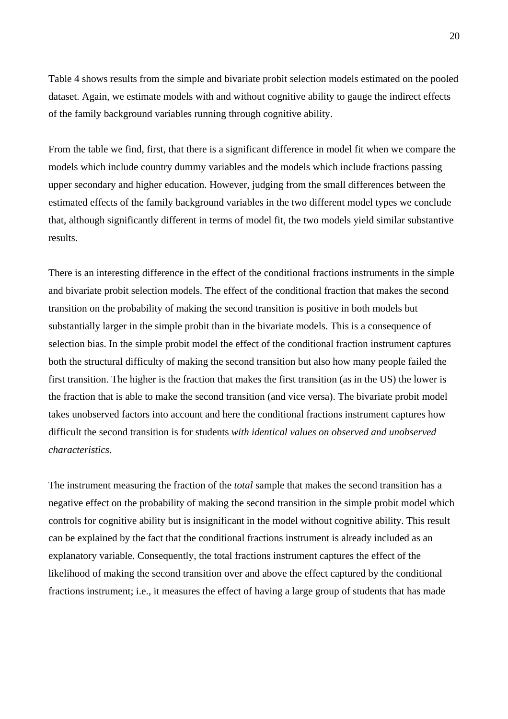Table 4 shows results from the simple and bivariate probit selection models estimated on the pooled dataset. Again, we estimate models with and without cognitive ability to gauge the indirect effects of the family background variables running through cognitive ability.

From the table we find, first, that there is a significant difference in model fit when we compare the models which include country dummy variables and the models which include fractions passing upper secondary and higher education. However, judging from the small differences between the estimated effects of the family background variables in the two different model types we conclude that, although significantly different in terms of model fit, the two models yield similar substantive results.

There is an interesting difference in the effect of the conditional fractions instruments in the simple and bivariate probit selection models. The effect of the conditional fraction that makes the second transition on the probability of making the second transition is positive in both models but substantially larger in the simple probit than in the bivariate models. This is a consequence of selection bias. In the simple probit model the effect of the conditional fraction instrument captures both the structural difficulty of making the second transition but also how many people failed the first transition. The higher is the fraction that makes the first transition (as in the US) the lower is the fraction that is able to make the second transition (and vice versa). The bivariate probit model takes unobserved factors into account and here the conditional fractions instrument captures how difficult the second transition is for students *with identical values on observed and unobserved characteristics*.

The instrument measuring the fraction of the *total* sample that makes the second transition has a negative effect on the probability of making the second transition in the simple probit model which controls for cognitive ability but is insignificant in the model without cognitive ability. This result can be explained by the fact that the conditional fractions instrument is already included as an explanatory variable. Consequently, the total fractions instrument captures the effect of the likelihood of making the second transition over and above the effect captured by the conditional fractions instrument; i.e., it measures the effect of having a large group of students that has made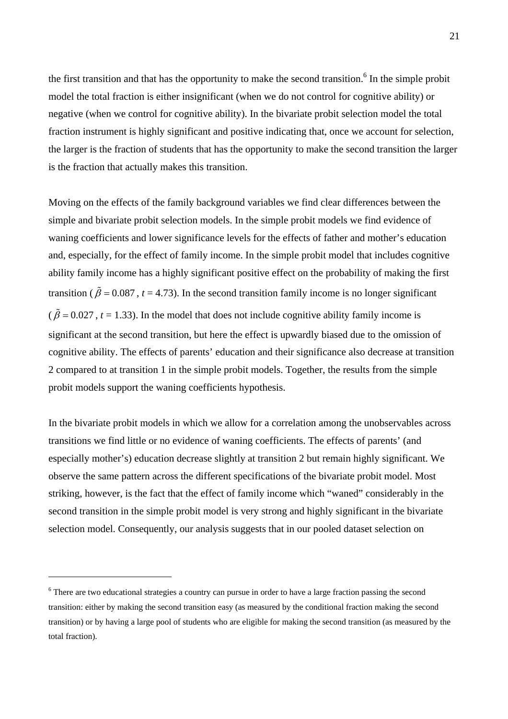the first transition and that has the opportunity to make the second transition.<sup>6</sup> [I](#page-22-0)n the simple probit model the total fraction is either insignificant (when we do not control for cognitive ability) or negative (when we control for cognitive ability). In the bivariate probit selection model the total fraction instrument is highly significant and positive indicating that, once we account for selection, the larger is the fraction of students that has the opportunity to make the second transition the larger is the fraction that actually makes this transition.

Moving on the effects of the family background variables we find clear differences between the simple and bivariate probit selection models. In the simple probit models we find evidence of waning coefficients and lower significance levels for the effects of father and mother's education and, especially, for the effect of family income. In the simple probit model that includes cognitive ability family income has a highly significant positive effect on the probability of making the first transition ( $\tilde{\beta}$  = 0.087, t = 4.73). In the second transition family income is no longer significant  $(\tilde{\beta} = 0.027, t = 1.33)$ . In the model that does not include cognitive ability family income is significant at the second transition, but here the effect is upwardly biased due to the omission of cognitive ability. The effects of parents' education and their significance also decrease at transition 2 compared to at transition 1 in the simple probit models. Together, the results from the simple probit models support the waning coefficients hypothesis.

In the bivariate probit models in which we allow for a correlation among the unobservables across transitions we find little or no evidence of waning coefficients. The effects of parents' (and especially mother's) education decrease slightly at transition 2 but remain highly significant. We observe the same pattern across the different specifications of the bivariate probit model. Most striking, however, is the fact that the effect of family income which "waned" considerably in the second transition in the simple probit model is very strong and highly significant in the bivariate selection model. Consequently, our analysis suggests that in our pooled dataset selection on

 $\overline{a}$ 

<span id="page-22-0"></span><sup>&</sup>lt;sup>6</sup> There are two educational strategies a country can pursue in order to have a large fraction passing the second transition: either by making the second transition easy (as measured by the conditional fraction making the second transition) or by having a large pool of students who are eligible for making the second transition (as measured by the total fraction).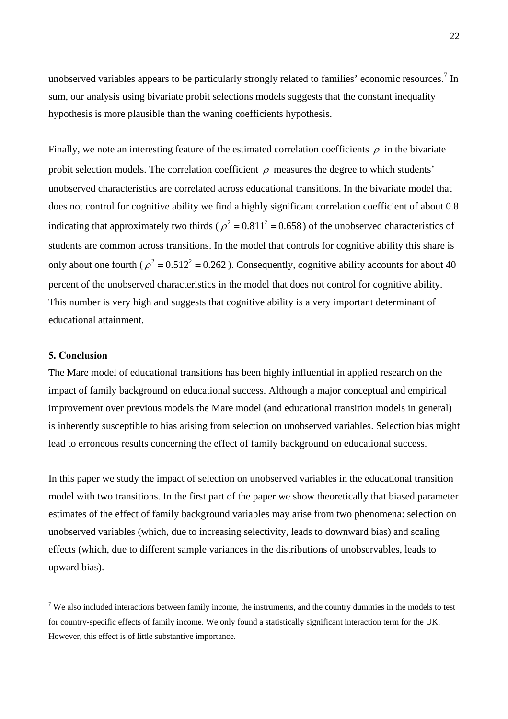unobserved variables appears to be particularly strongly related to families' economic resources.<sup>[7](#page-23-0)</sup> In sum, our analysis using bivariate probit selections models suggests that the constant inequality hypothesis is more plausible than the waning coefficients hypothesis.

Finally, we note an interesting feature of the estimated correlation coefficients  $\rho$  in the bivariate probit selection models. The correlation coefficient  $\rho$  measures the degree to which students' unobserved characteristics are correlated across educational transitions. In the bivariate model that does not control for cognitive ability we find a highly significant correlation coefficient of about 0.8 indicating that approximately two thirds ( $\rho^2 = 0.811^2 = 0.658$ ) of the unobserved characteristics of students are common across transitions. In the model that controls for cognitive ability this share is only about one fourth ( $\rho^2 = 0.512^2 = 0.262$ ). Consequently, cognitive ability accounts for about 40 percent of the unobserved characteristics in the model that does not control for cognitive ability. This number is very high and suggests that cognitive ability is a very important determinant of educational attainment.

#### **5. Conclusion**

 $\overline{a}$ 

The Mare model of educational transitions has been highly influential in applied research on the impact of family background on educational success. Although a major conceptual and empirical improvement over previous models the Mare model (and educational transition models in general) is inherently susceptible to bias arising from selection on unobserved variables. Selection bias might lead to erroneous results concerning the effect of family background on educational success.

In this paper we study the impact of selection on unobserved variables in the educational transition model with two transitions. In the first part of the paper we show theoretically that biased parameter estimates of the effect of family background variables may arise from two phenomena: selection on unobserved variables (which, due to increasing selectivity, leads to downward bias) and scaling effects (which, due to different sample variances in the distributions of unobservables, leads to upward bias).

<span id="page-23-0"></span><sup>&</sup>lt;sup>7</sup> We also included interactions between family income, the instruments, and the country dummies in the models to test for country-specific effects of family income. We only found a statistically significant interaction term for the UK. However, this effect is of little substantive importance.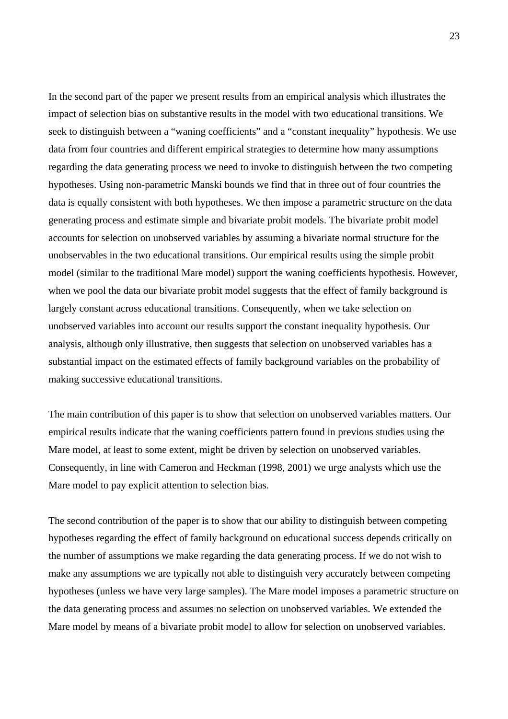In the second part of the paper we present results from an empirical analysis which illustrates the impact of selection bias on substantive results in the model with two educational transitions. We seek to distinguish between a "waning coefficients" and a "constant inequality" hypothesis. We use data from four countries and different empirical strategies to determine how many assumptions regarding the data generating process we need to invoke to distinguish between the two competing hypotheses. Using non-parametric Manski bounds we find that in three out of four countries the data is equally consistent with both hypotheses. We then impose a parametric structure on the data generating process and estimate simple and bivariate probit models. The bivariate probit model accounts for selection on unobserved variables by assuming a bivariate normal structure for the unobservables in the two educational transitions. Our empirical results using the simple probit model (similar to the traditional Mare model) support the waning coefficients hypothesis. However, when we pool the data our bivariate probit model suggests that the effect of family background is largely constant across educational transitions. Consequently, when we take selection on unobserved variables into account our results support the constant inequality hypothesis. Our analysis, although only illustrative, then suggests that selection on unobserved variables has a substantial impact on the estimated effects of family background variables on the probability of making successive educational transitions.

The main contribution of this paper is to show that selection on unobserved variables matters. Our empirical results indicate that the waning coefficients pattern found in previous studies using the Mare model, at least to some extent, might be driven by selection on unobserved variables. Consequently, in line with Cameron and Heckman (1998, 2001) we urge analysts which use the Mare model to pay explicit attention to selection bias.

The second contribution of the paper is to show that our ability to distinguish between competing hypotheses regarding the effect of family background on educational success depends critically on the number of assumptions we make regarding the data generating process. If we do not wish to make any assumptions we are typically not able to distinguish very accurately between competing hypotheses (unless we have very large samples). The Mare model imposes a parametric structure on the data generating process and assumes no selection on unobserved variables. We extended the Mare model by means of a bivariate probit model to allow for selection on unobserved variables.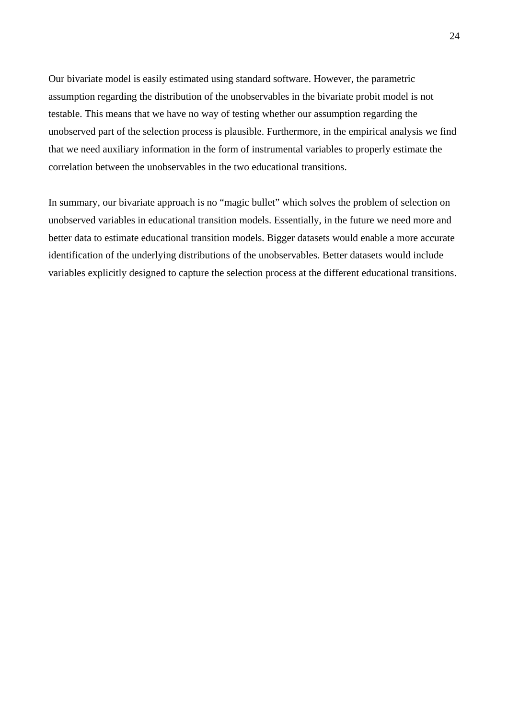Our bivariate model is easily estimated using standard software. However, the parametric assumption regarding the distribution of the unobservables in the bivariate probit model is not testable. This means that we have no way of testing whether our assumption regarding the unobserved part of the selection process is plausible. Furthermore, in the empirical analysis we find that we need auxiliary information in the form of instrumental variables to properly estimate the correlation between the unobservables in the two educational transitions.

In summary, our bivariate approach is no "magic bullet" which solves the problem of selection on unobserved variables in educational transition models. Essentially, in the future we need more and better data to estimate educational transition models. Bigger datasets would enable a more accurate identification of the underlying distributions of the unobservables. Better datasets would include variables explicitly designed to capture the selection process at the different educational transitions.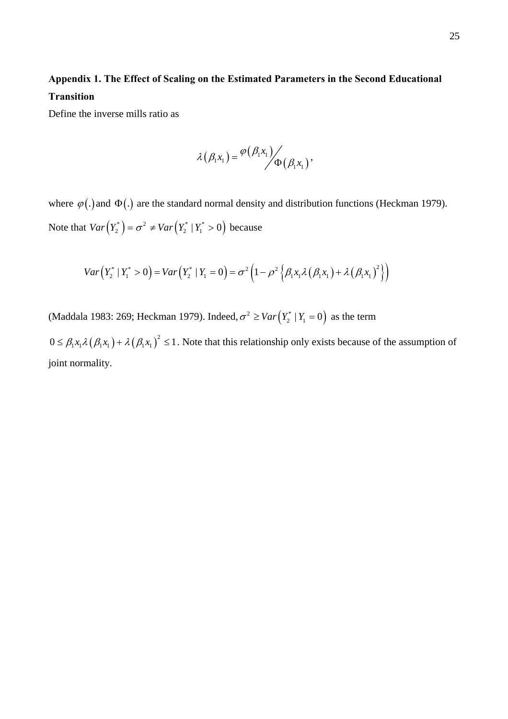## **Appendix 1. The Effect of Scaling on the Estimated Parameters in the Second Educational Transition**

Define the inverse mills ratio as

$$
\lambda(\beta_1x_1) = \frac{\varphi(\beta_1x_1)}{\Phi(\beta_1x_1)},
$$

where  $\varphi(.)$  and  $\Phi(.)$  are the standard normal density and distribution functions (Heckman 1979). Note that  $Var(Y_2^*) = \sigma^2 \neq Var(Y_2^* | Y_1^* > 0)$  because

$$
Var(Y_2^* | Y_1^* > 0) = Var(Y_2^* | Y_1 = 0) = \sigma^2 \left(1 - \rho^2 \left\{ \beta_1 x_1 \lambda (\beta_1 x_1) + \lambda (\beta_1 x_1)^2 \right\} \right)
$$

(Maddala 1983: 269; Heckman 1979). Indeed,  $\sigma^2 \geq Var(Y_2^* | Y_1 = 0)$  as the term

 $0 \leq \beta_1 x_1 \lambda (\beta_1 x_1) + \lambda (\beta_1 x_1)^2 \leq 1$ . Note that this relationship only exists because of the assumption of joint normality.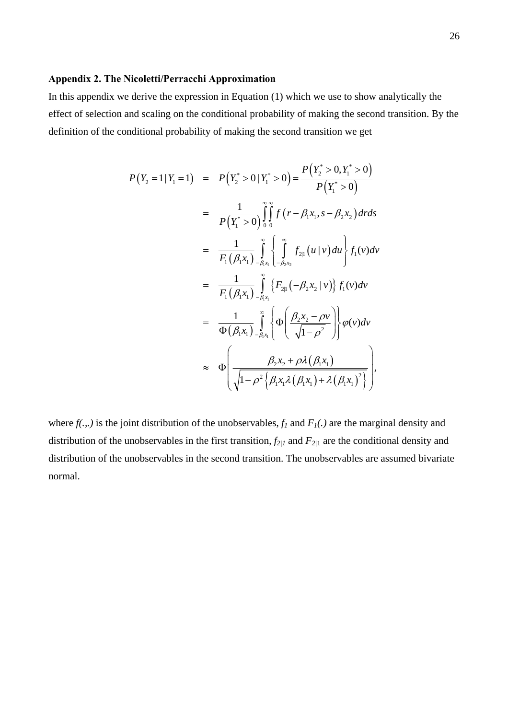#### **Appendix 2. The Nicoletti/Perracchi Approximation**

In this appendix we derive the expression in Equation (1) which we use to show analytically the effect of selection and scaling on the conditional probability of making the second transition. By the definition of the conditional probability of making the second transition we get

$$
P(Y_2 = 1 | Y_1 = 1) = P(Y_2^* > 0 | Y_1^* > 0) = \frac{P(Y_2^* > 0, Y_1^* > 0)}{P(Y_1^* > 0)}
$$
  
\n
$$
= \frac{1}{P(Y_1^* > 0)} \int_{0}^{\infty} \int_{0}^{\infty} f(r - \beta_1 x_1, s - \beta_2 x_2) dr ds
$$
  
\n
$$
= \frac{1}{F_1(\beta_1 x_1)} \int_{-\beta_1 x_1}^{\infty} \left\{ \int_{-\beta_2 x_2}^{\infty} f_{2|1}(u | v) du \right\} f_1(v) dv
$$
  
\n
$$
= \frac{1}{F_1(\beta_1 x_1)} \int_{-\beta_1 x_1}^{\infty} \left\{ F_{2|1}(-\beta_2 x_2 | v) \right\} f_1(v) dv
$$
  
\n
$$
= \frac{1}{\Phi(\beta_1 x_1)} \int_{-\beta_1 x_1}^{\infty} \left\{ \Phi\left(\frac{\beta_2 x_2 - \rho v}{\sqrt{1 - \rho^2}}\right) \right\} \varphi(v) dv
$$
  
\n
$$
\approx \Phi\left(\frac{\beta_2 x_2 + \rho \lambda(\beta_1 x_1)}{\sqrt{1 - \rho^2} \left\{ \beta_1 x_1 \lambda(\beta_1 x_1) + \lambda(\beta_1 x_1)^2 \right\}}\right),
$$

where  $f(.,.)$  is the joint distribution of the unobservables,  $f_1$  and  $F_1(.)$  are the marginal density and distribution of the unobservables in the first transition,  $f_{2/I}$  and  $F_{2/I}$  are the conditional density and distribution of the unobservables in the second transition. The unobservables are assumed bivariate normal.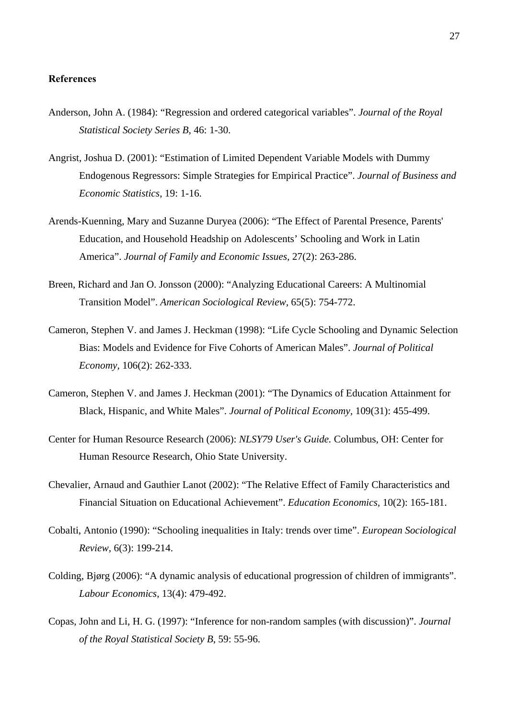#### **References**

- Anderson, John A. (1984): "Regression and ordered categorical variables". *Journal of the Royal Statistical Society Series B,* 46: 1-30.
- Angrist, Joshua D. (2001): "Estimation of Limited Dependent Variable Models with Dummy Endogenous Regressors: Simple Strategies for Empirical Practice". *Journal of Business and Economic Statistics*, 19: 1-16.
- Arends-Kuenning, Mary and Suzanne Duryea (2006): "The Effect of Parental Presence, Parents' Education, and Household Headship on Adolescents' Schooling and Work in Latin America". *Journal of Family and Economic Issues,* 27(2): 263-286.
- Breen, Richard and Jan O. Jonsson (2000): "Analyzing Educational Careers: A Multinomial Transition Model". *American Sociological Review,* 65(5): 754-772.
- Cameron, Stephen V. and James J. Heckman (1998): "Life Cycle Schooling and Dynamic Selection Bias: Models and Evidence for Five Cohorts of American Males". *Journal of Political Economy,* 106(2): 262-333.
- Cameron, Stephen V. and James J. Heckman (2001): "The Dynamics of Education Attainment for Black, Hispanic, and White Males". *Journal of Political Economy,* 109(31): 455-499.
- Center for Human Resource Research (2006): *NLSY79 User's Guide.* Columbus, OH: Center for Human Resource Research, Ohio State University.
- Chevalier, Arnaud and Gauthier Lanot (2002): "The Relative Effect of Family Characteristics and Financial Situation on Educational Achievement". *Education Economics,* 10(2): 165-181.
- Cobalti, Antonio (1990): "Schooling inequalities in Italy: trends over time". *European Sociological Review,* 6(3): 199-214.
- Colding, Bjørg (2006): "A dynamic analysis of educational progression of children of immigrants". *Labour Economics,* 13(4): 479-492.
- Copas, John and Li, H. G. (1997): "Inference for non-random samples (with discussion)". *Journal of the Royal Statistical Society B*, 59: 55-96.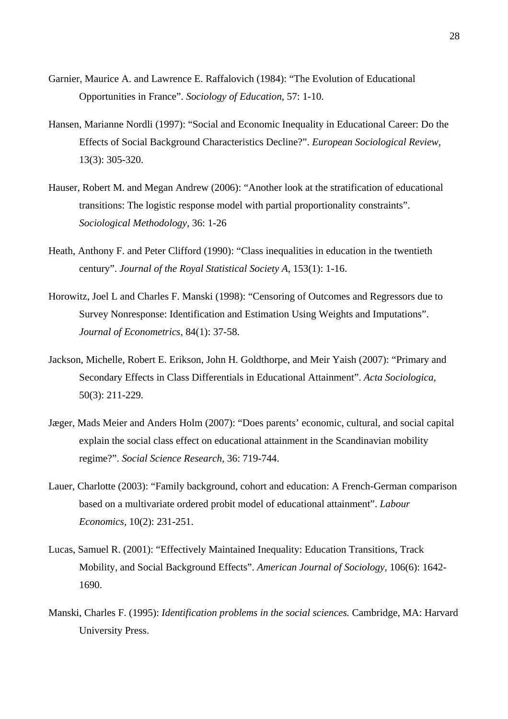- Garnier, Maurice A. and Lawrence E. Raffalovich (1984): "The Evolution of Educational Opportunities in France". *Sociology of Education,* 57: 1-10.
- Hansen, Marianne Nordli (1997): "Social and Economic Inequality in Educational Career: Do the Effects of Social Background Characteristics Decline?". *European Sociological Review,* 13(3): 305-320.
- Hauser, Robert M. and Megan Andrew (2006): "Another look at the stratification of educational transitions: The logistic response model with partial proportionality constraints". *Sociological Methodology,* 36: 1-26
- Heath, Anthony F. and Peter Clifford (1990): "Class inequalities in education in the twentieth century". *Journal of the Royal Statistical Society A,* 153(1): 1-16.
- Horowitz, Joel L and Charles F. Manski (1998): "Censoring of Outcomes and Regressors due to Survey Nonresponse: Identification and Estimation Using Weights and Imputations". *Journal of Econometrics,* 84(1): 37-58.
- Jackson, Michelle, Robert E. Erikson, John H. Goldthorpe, and Meir Yaish (2007): "Primary and Secondary Effects in Class Differentials in Educational Attainment". *Acta Sociologica,* 50(3): 211-229.
- Jæger, Mads Meier and Anders Holm (2007): "Does parents' economic, cultural, and social capital explain the social class effect on educational attainment in the Scandinavian mobility regime?". *Social Science Research,* 36: 719-744.
- Lauer, Charlotte (2003): "Family background, cohort and education: A French-German comparison based on a multivariate ordered probit model of educational attainment". *Labour Economics,* 10(2): 231-251.
- Lucas, Samuel R. (2001): "Effectively Maintained Inequality: Education Transitions, Track Mobility, and Social Background Effects". *American Journal of Sociology,* 106(6): 1642- 1690.
- Manski, Charles F. (1995): *Identification problems in the social sciences.* Cambridge, MA: Harvard University Press.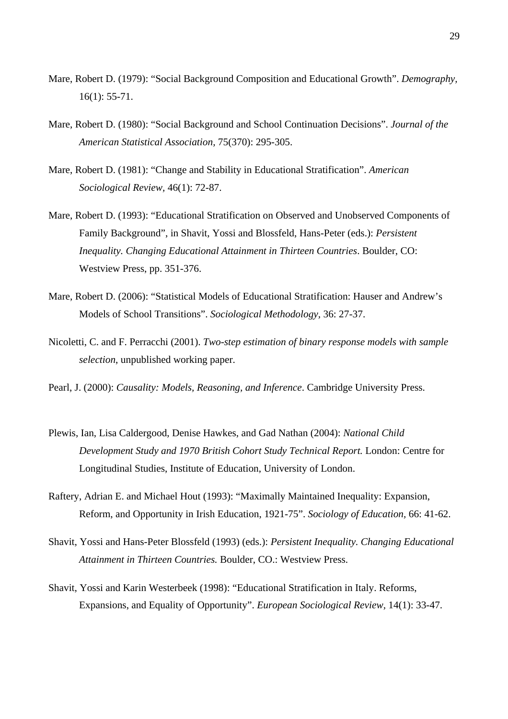- Mare, Robert D. (1979): "Social Background Composition and Educational Growth". *Demography,* 16(1): 55-71.
- Mare, Robert D. (1980): "Social Background and School Continuation Decisions". *Journal of the American Statistical Association,* 75(370): 295-305.
- Mare, Robert D. (1981): "Change and Stability in Educational Stratification". *American Sociological Review,* 46(1): 72-87.
- Mare, Robert D. (1993): "Educational Stratification on Observed and Unobserved Components of Family Background", in Shavit, Yossi and Blossfeld, Hans-Peter (eds.): *Persistent Inequality. Changing Educational Attainment in Thirteen Countries*. Boulder, CO: Westview Press, pp. 351-376.
- Mare, Robert D. (2006): "Statistical Models of Educational Stratification: Hauser and Andrew's Models of School Transitions". *Sociological Methodology,* 36: 27-37.
- Nicoletti, C. and F. Perracchi (2001). *Two-step estimation of binary response models with sample selection*, unpublished working paper.
- Pearl, J. (2000): *Causality: Models, Reasoning, and Inference*. Cambridge University Press.
- Plewis, Ian, Lisa Caldergood, Denise Hawkes, and Gad Nathan (2004): *National Child Development Study and 1970 British Cohort Study Technical Report.* London: Centre for Longitudinal Studies, Institute of Education, University of London.
- Raftery, Adrian E. and Michael Hout (1993): "Maximally Maintained Inequality: Expansion, Reform, and Opportunity in Irish Education, 1921-75". *Sociology of Education,* 66: 41-62.
- Shavit, Yossi and Hans-Peter Blossfeld (1993) (eds.): *Persistent Inequality. Changing Educational Attainment in Thirteen Countries.* Boulder, CO.: Westview Press.
- Shavit, Yossi and Karin Westerbeek (1998): "Educational Stratification in Italy. Reforms, Expansions, and Equality of Opportunity". *European Sociological Review,* 14(1): 33-47.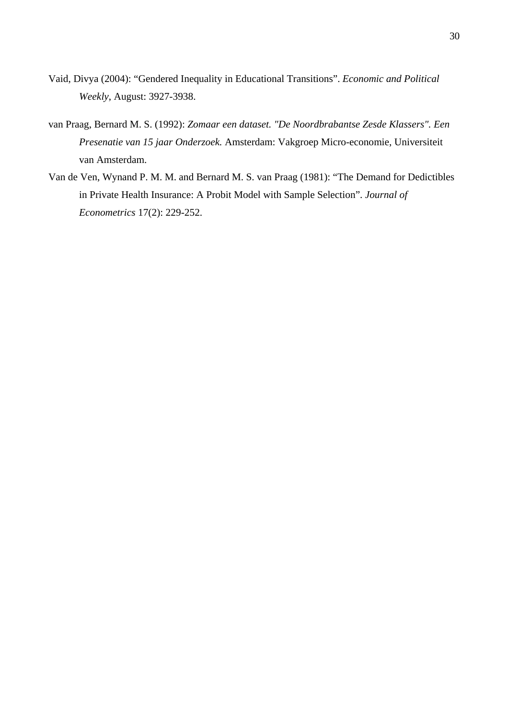- Vaid, Divya (2004): "Gendered Inequality in Educational Transitions". *Economic and Political Weekly*, August: 3927-3938.
- van Praag, Bernard M. S. (1992): *Zomaar een dataset. "De Noordbrabantse Zesde Klassers". Een Presenatie van 15 jaar Onderzoek.* Amsterdam: Vakgroep Micro-economie, Universiteit van Amsterdam.
- Van de Ven, Wynand P. M. M. and Bernard M. S. van Praag (1981): "The Demand for Dedictibles in Private Health Insurance: A Probit Model with Sample Selection". *Journal of Econometrics* 17(2): 229-252.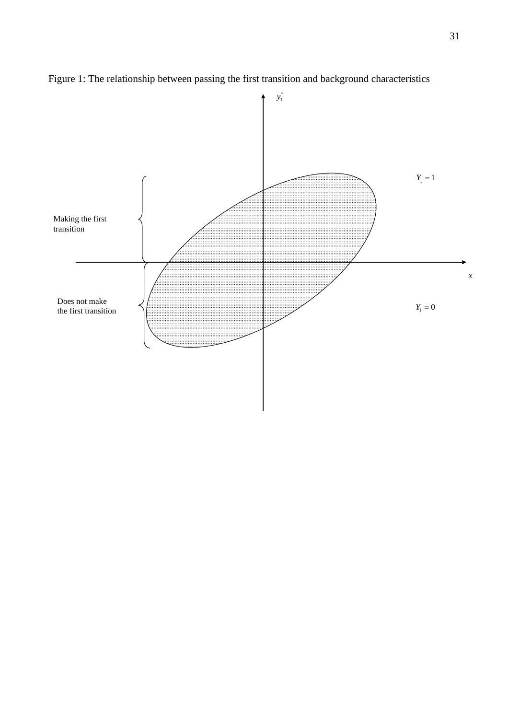

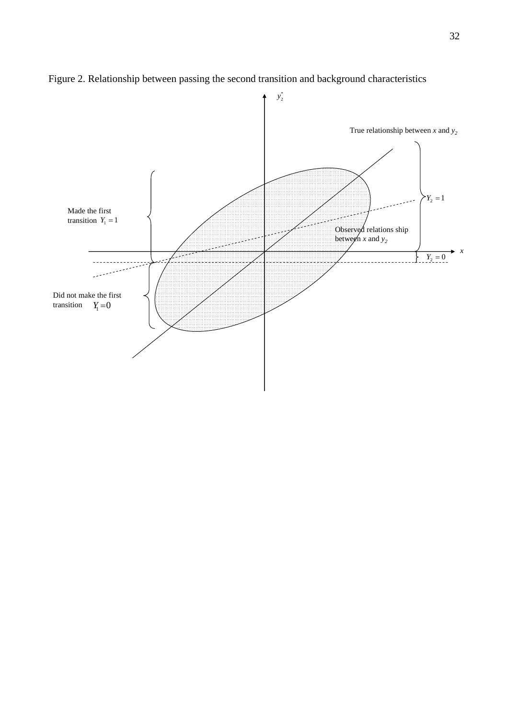

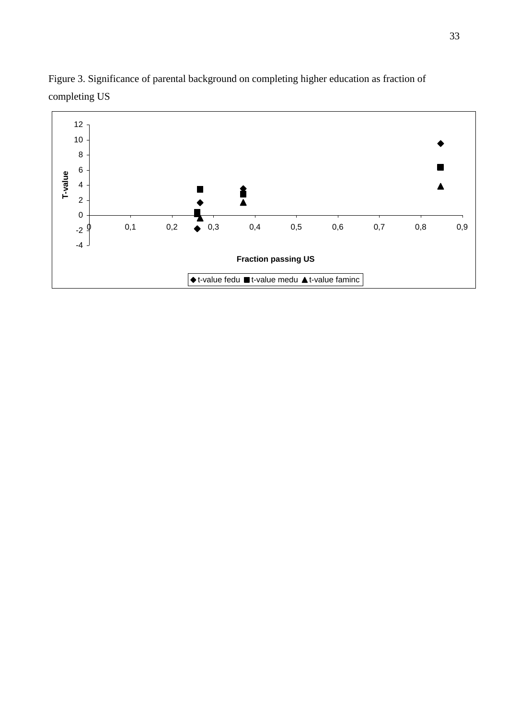

Figure 3. Significance of parental background on completing higher education as fraction of completing US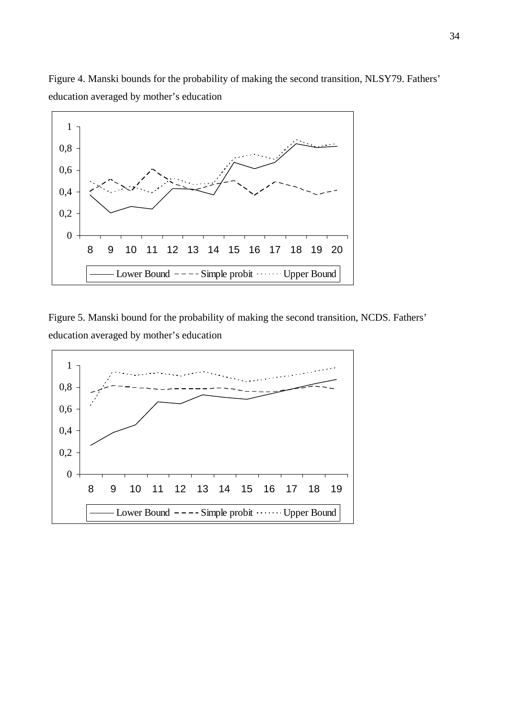

Figure 4. Manski bounds for the probability of making the second transition, NLSY79. Fathers' education averaged by mother's education

Figure 5. Manski bound for the probability of making the second transition, NCDS. Fathers' education averaged by mother's education

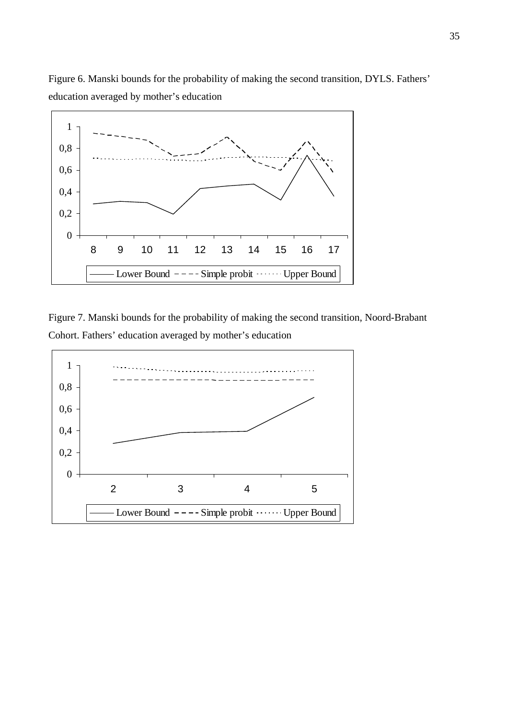

Figure 7. Manski bounds for the probability of making the second transition, Noord-Brabant Cohort. Fathers' education averaged by mother's education



Figure 6. Manski bounds for the probability of making the second transition, DYLS. Fathers' education averaged by mother's education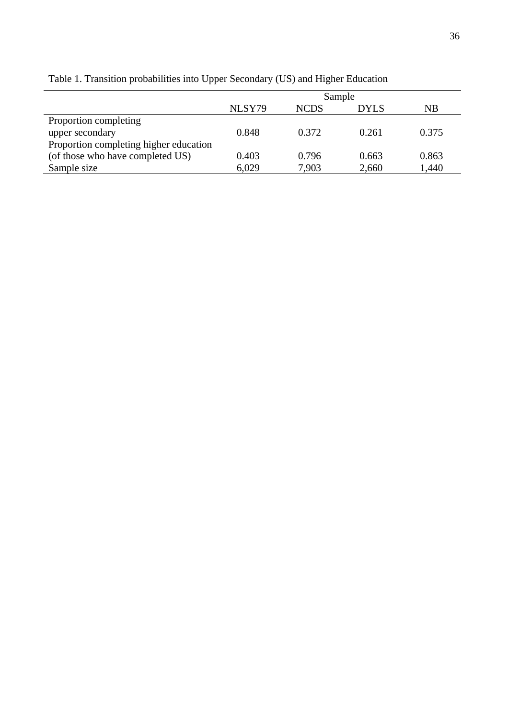|                                        | Sample |             |       |       |  |  |  |  |  |
|----------------------------------------|--------|-------------|-------|-------|--|--|--|--|--|
|                                        | NLSY79 | <b>NCDS</b> | DYLS  | NB    |  |  |  |  |  |
| Proportion completing                  |        |             |       |       |  |  |  |  |  |
| upper secondary                        | 0.848  | 0.372       | 0.261 | 0.375 |  |  |  |  |  |
| Proportion completing higher education |        |             |       |       |  |  |  |  |  |
| (of those who have completed US)       | 0.403  | 0.796       | 0.663 | 0.863 |  |  |  |  |  |
| Sample size                            | 6,029  | 7,903       | 2,660 | 1,440 |  |  |  |  |  |

Table 1. Transition probabilities into Upper Secondary (US) and Higher Education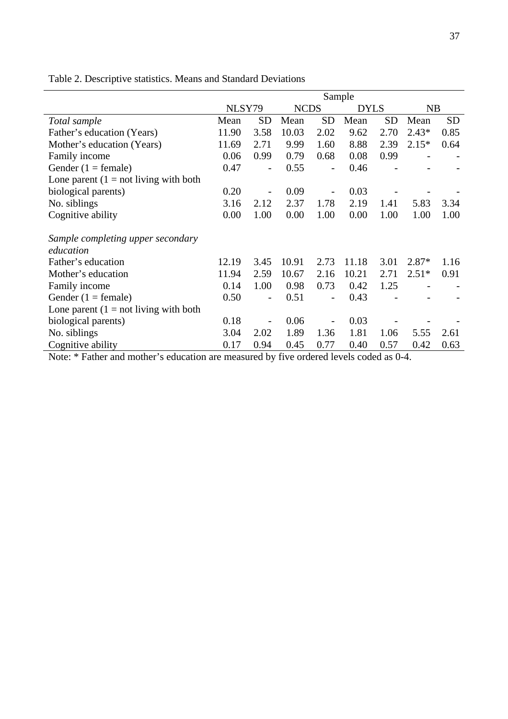|                                          | Sample |                          |             |                          |             |           |         |           |  |
|------------------------------------------|--------|--------------------------|-------------|--------------------------|-------------|-----------|---------|-----------|--|
|                                          | NLSY79 |                          | <b>NCDS</b> |                          | <b>DYLS</b> |           | NB      |           |  |
| Total sample                             | Mean   | <b>SD</b>                | Mean        | <b>SD</b>                | Mean        | <b>SD</b> | Mean    | <b>SD</b> |  |
| Father's education (Years)               | 11.90  | 3.58                     | 10.03       | 2.02                     | 9.62        | 2.70      | $2.43*$ | 0.85      |  |
| Mother's education (Years)               | 11.69  | 2.71                     | 9.99        | 1.60                     | 8.88        | 2.39      | $2.15*$ | 0.64      |  |
| Family income                            | 0.06   | 0.99                     | 0.79        | 0.68                     | 0.08        | 0.99      |         |           |  |
| Gender $(1 = \text{female})$             | 0.47   | $\overline{\phantom{a}}$ | 0.55        | $\overline{\phantom{0}}$ | 0.46        |           |         |           |  |
| Lone parent $(1 = not living with both)$ |        |                          |             |                          |             |           |         |           |  |
| biological parents)                      | 0.20   | $\overline{\phantom{0}}$ | 0.09        |                          | 0.03        |           |         |           |  |
| No. siblings                             | 3.16   | 2.12                     | 2.37        | 1.78                     | 2.19        | 1.41      | 5.83    | 3.34      |  |
| Cognitive ability                        | 0.00   | 1.00                     | 0.00        | 1.00                     | 0.00        | 1.00      | 1.00    | 1.00      |  |
| Sample completing upper secondary        |        |                          |             |                          |             |           |         |           |  |
| education                                |        |                          |             |                          |             |           |         |           |  |
| Father's education                       | 12.19  | 3.45                     | 10.91       | 2.73                     | 11.18       | 3.01      | $2.87*$ | 1.16      |  |
| Mother's education                       | 11.94  | 2.59                     | 10.67       | 2.16                     | 10.21       | 2.71      | $2.51*$ | 0.91      |  |
| Family income                            | 0.14   | 1.00                     | 0.98        | 0.73                     | 0.42        | 1.25      |         |           |  |
| Gender $(1 = \text{female})$             | 0.50   | $\overline{\phantom{a}}$ | 0.51        | $\overline{a}$           | 0.43        |           |         |           |  |
| Lone parent $(1 = not living with both)$ |        |                          |             |                          |             |           |         |           |  |
| biological parents)                      | 0.18   |                          | 0.06        |                          | 0.03        |           |         |           |  |
| No. siblings                             | 3.04   | 2.02                     | 1.89        | 1.36                     | 1.81        | 1.06      | 5.55    | 2.61      |  |
| Cognitive ability                        | 0.17   | 0.94                     | 0.45        | 0.77                     | 0.40        | 0.57      | 0.42    | 0.63      |  |

Table 2. Descriptive statistics. Means and Standard Deviations

Note: \* Father and mother's education are measured by five ordered levels coded as 0-4.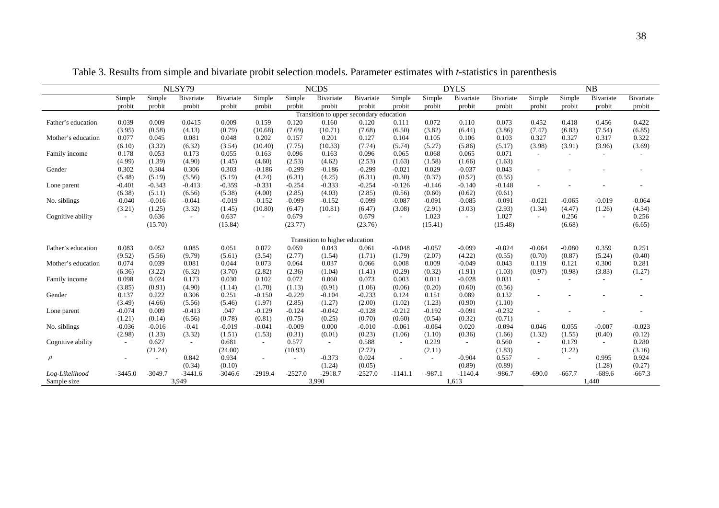|                                         | NLSY79                   |                          |           | <b>NCDS</b> |           |                          |                                |           | <b>DYLS</b> |          |           |           | NB       |          |           |           |
|-----------------------------------------|--------------------------|--------------------------|-----------|-------------|-----------|--------------------------|--------------------------------|-----------|-------------|----------|-----------|-----------|----------|----------|-----------|-----------|
|                                         | Simple                   | Simple                   | Bivariate | Bivariate   | Simple    | Simple                   | Bivariate                      | Bivariate | Simple      | Simple   | Bivariate | Bivariate | Simple   | Simple   | Bivariate | Bivariate |
|                                         | probit                   | probit                   | probit    | probit      | probit    | probit                   | probit                         | probit    | probit      | probit   | probit    | probit    | probit   | probit   | probit    | probit    |
| Transition to upper secondary education |                          |                          |           |             |           |                          |                                |           |             |          |           |           |          |          |           |           |
| Father's education                      | 0.039                    | 0.009                    | 0.0415    | 0.009       | 0.159     | 0.120                    | 0.160                          | 0.120     | 0.111       | 0.072    | 0.110     | 0.073     | 0.452    | 0.418    | 0.456     | 0.422     |
|                                         | (3.95)                   | (0.58)                   | (4.13)    | (0.79)      | (10.68)   | (7.69)                   | (10.71)                        | (7.68)    | (6.50)      | (3.82)   | (6.44)    | (3.86)    | (7.47)   | (6.83)   | (7.54)    | (6.85)    |
| Mother's education                      | 0.077                    | 0.045                    | 0.081     | 0.048       | 0.202     | 0.157                    | 0.201                          | 0.127     | 0.104       | 0.105    | 0.106     | 0.103     | 0.327    | 0.327    | 0.317     | 0.322     |
|                                         | (6.10)                   | (3.32)                   | (6.32)    | (3.54)      | (10.40)   | (7.75)                   | (10.33)                        | (7.74)    | (5.74)      | (5.27)   | (5.86)    | (5.17)    | (3.98)   | (3.91)   | (3.96)    | (3.69)    |
| Family income                           | 0.178                    | 0.053                    | 0.173     | 0.055       | 0.163     | 0.096                    | 0.163                          | 0.096     | 0.065       | 0.068    | 0.065     | 0.071     | $\sim$   |          |           |           |
|                                         | (4.99)                   | (1.39)                   | (4.90)    | (1.45)      | (4.60)    | (2.53)                   | (4.62)                         | (2.53)    | (1.63)      | (1.58)   | (1.66)    | (1.63)    |          |          |           |           |
| Gender                                  | 0.302                    | 0.304                    | 0.306     | 0.303       | $-0.186$  | $-0.299$                 | $-0.186$                       | $-0.299$  | $-0.021$    | 0.029    | $-0.037$  | 0.043     |          |          |           |           |
|                                         | (5.48)                   | (5.19)                   | (5.56)    | (5.19)      | (4.24)    | (6.31)                   | (4.25)                         | (6.31)    | (0.30)      | (0.37)   | (0.52)    | (0.55)    |          |          |           |           |
| Lone parent                             | $-0.401$                 | $-0.343$                 | $-0.413$  | $-0.359$    | $-0.331$  | $-0.254$                 | $-0.333$                       | $-0.254$  | $-0.126$    | $-0.146$ | $-0.140$  | $-0.148$  |          |          |           |           |
|                                         | (6.38)                   | (5.11)                   | (6.56)    | (5.38)      | (4.00)    | (2.85)                   | (4.03)                         | (2.85)    | (0.56)      | (0.60)   | (0.62)    | (0.61)    |          |          |           |           |
| No. siblings                            | $-0.040$                 | $-0.016$                 | $-0.041$  | $-0.019$    | $-0.152$  | $-0.099$                 | $-0.152$                       | $-0.099$  | $-0.087$    | $-0.091$ | $-0.085$  | $-0.091$  | $-0.021$ | $-0.065$ | $-0.019$  | $-0.064$  |
|                                         | (3.21)                   | (1.25)                   | (3.32)    | (1.45)      | (10.80)   | (6.47)                   | (10.81)                        | (6.47)    | (3.08)      | (2.91)   | (3.03)    | (2.93)    | (1.34)   | (4.47)   | (1.26)    | (4.34)    |
| Cognitive ability                       | $\sim$                   | 0.636                    | $\sim$    | 0.637       | $\sim$    | 0.679                    |                                | 0.679     | $\sim$      | 1.023    | $\sim$    | 1.027     | $\sim$   | 0.256    | $\sim$    | 0.256     |
|                                         |                          | (15.70)                  |           | (15.84)     |           | (23.77)                  |                                | (23.76)   |             | (15.41)  |           | (15.48)   |          | (6.68)   |           | (6.65)    |
|                                         |                          |                          |           |             |           |                          | Transition to higher education |           |             |          |           |           |          |          |           |           |
| Father's education                      | 0.083                    | 0.052                    | 0.085     | 0.051       | 0.072     | 0.059                    | 0.043                          | 0.061     | $-0.048$    | $-0.057$ | $-0.099$  | $-0.024$  | $-0.064$ | $-0.080$ | 0.359     | 0.251     |
|                                         | (9.52)                   | (5.56)                   | (9.79)    | (5.61)      | (3.54)    | (2.77)                   | (1.54)                         | (1.71)    | (1.79)      | (2.07)   | (4.22)    | (0.55)    | (0.70)   | (0.87)   | (5.24)    | (0.40)    |
| Mother's education                      | 0.074                    | 0.039                    | 0.081     | 0.044       | 0.073     | 0.064                    | 0.037                          | 0.066     | 0.008       | 0.009    | $-0.049$  | 0.043     | 0.119    | 0.121    | 0.300     | 0.281     |
|                                         | (6.36)                   | (3.22)                   | (6.32)    | (3.70)      | (2.82)    | (2.36)                   | (1.04)                         | (1.41)    | (0.29)      | (0.32)   | (1.91)    | (1.03)    | (0.97)   | (0.98)   | (3.83)    | (1.27)    |
| Family income                           | 0.098                    | 0.024                    | 0.173     | 0.030       | 0.102     | 0.072                    | 0.060                          | 0.073     | 0.003       | 0.011    | $-0.028$  | 0.031     | $\sim$   |          | $\sim$    | $\sim$    |
|                                         | (3.85)                   | (0.91)                   | (4.90)    | (1.14)      | (1.70)    | (1.13)                   | (0.91)                         | (1.06)    | (0.06)      | (0.20)   | (0.60)    | (0.56)    |          |          |           |           |
| Gender                                  | 0.137                    | 0.222                    | 0.306     | 0.251       | $-0.150$  | $-0.229$                 | $-0.104$                       | $-0.233$  | 0.124       | 0.151    | 0.089     | 0.132     |          |          |           |           |
|                                         | (3.49)                   | (4.66)                   | (5.56)    | (5.46)      | (1.97)    | (2.85)                   | (1.27)                         | (2.00)    | (1.02)      | (1.23)   | (0.90)    | (1.10)    |          |          |           |           |
| Lone parent                             | $-0.074$                 | 0.009                    | $-0.413$  | .047        | $-0.129$  | $-0.124$                 | $-0.042$                       | $-0.128$  | $-0.212$    | $-0.192$ | $-0.091$  | $-0.232$  |          |          |           |           |
|                                         | (1.21)                   | (0.14)                   | (6.56)    | (0.78)      | (0.81)    | (0.75)                   | (0.25)                         | (0.70)    | (0.60)      | (0.54)   | (0.32)    | (0.71)    |          |          |           |           |
| No. siblings                            | $-0.036$                 | $-0.016$                 | $-0.41$   | $-0.019$    | $-0.041$  | $-0.009$                 | 0.000                          | $-0.010$  | $-0.061$    | $-0.064$ | 0.020     | $-0.094$  | 0.046    | 0.055    | $-0.007$  | $-0.023$  |
|                                         | (2.98)                   | (1.33)                   | (3.32)    | (1.51)      | (1.53)    | (0.31)                   | (0.01)                         | (0.23)    | (1.06)      | (1.10)   | (0.36)    | (1.66)    | (1.32)   | (1.55)   | (0.40)    | (0.12)    |
| Cognitive ability                       | $\overline{\phantom{a}}$ | 0.627                    | $\sim$    | 0.681       |           | 0.577                    |                                | 0.588     | $\sim$      | 0.229    | $\sim$    | 0.560     | $\sim$   | 0.179    | $\sim$    | 0.280     |
|                                         |                          | (21.24)                  |           | (24.00)     |           | (10.93)                  |                                | (2.72)    |             | (2.11)   |           | (1.83)    |          | (1.22)   |           | (3.16)    |
| $\rho$                                  |                          | $\overline{\phantom{a}}$ | 0.842     | 0.934       |           | $\overline{\phantom{a}}$ | $-0.373$                       | 0.024     | ٠           | $\sim$   | $-0.904$  | 0.557     | $\sim$   | $\sim$   | 0.995     | 0.924     |
|                                         |                          |                          | (0.34)    | (0.10)      |           |                          | (1.24)                         | (0.05)    |             |          | (0.89)    | (0.89)    |          |          | (1.28)    | (0.27)    |
| Log-Likelihood                          | $-3445.0$                | $-3049.7$                | $-3441.6$ | $-3046.6$   | $-2919.4$ | $-2527.0$                | $-2918.7$                      | $-2527.0$ | $-1141.1$   | $-987.1$ | $-1140.4$ | $-986.7$  | $-690.0$ | $-667.7$ | $-689.6$  | $-667.3$  |
| Sample size                             |                          |                          | 3,949     |             |           |                          | 3,990                          |           |             |          | 1,613     |           |          |          | 1,440     |           |

Table 3. Results from simple and bivariate probit selection models. Parameter estimates with *t*-statistics in parenthesis